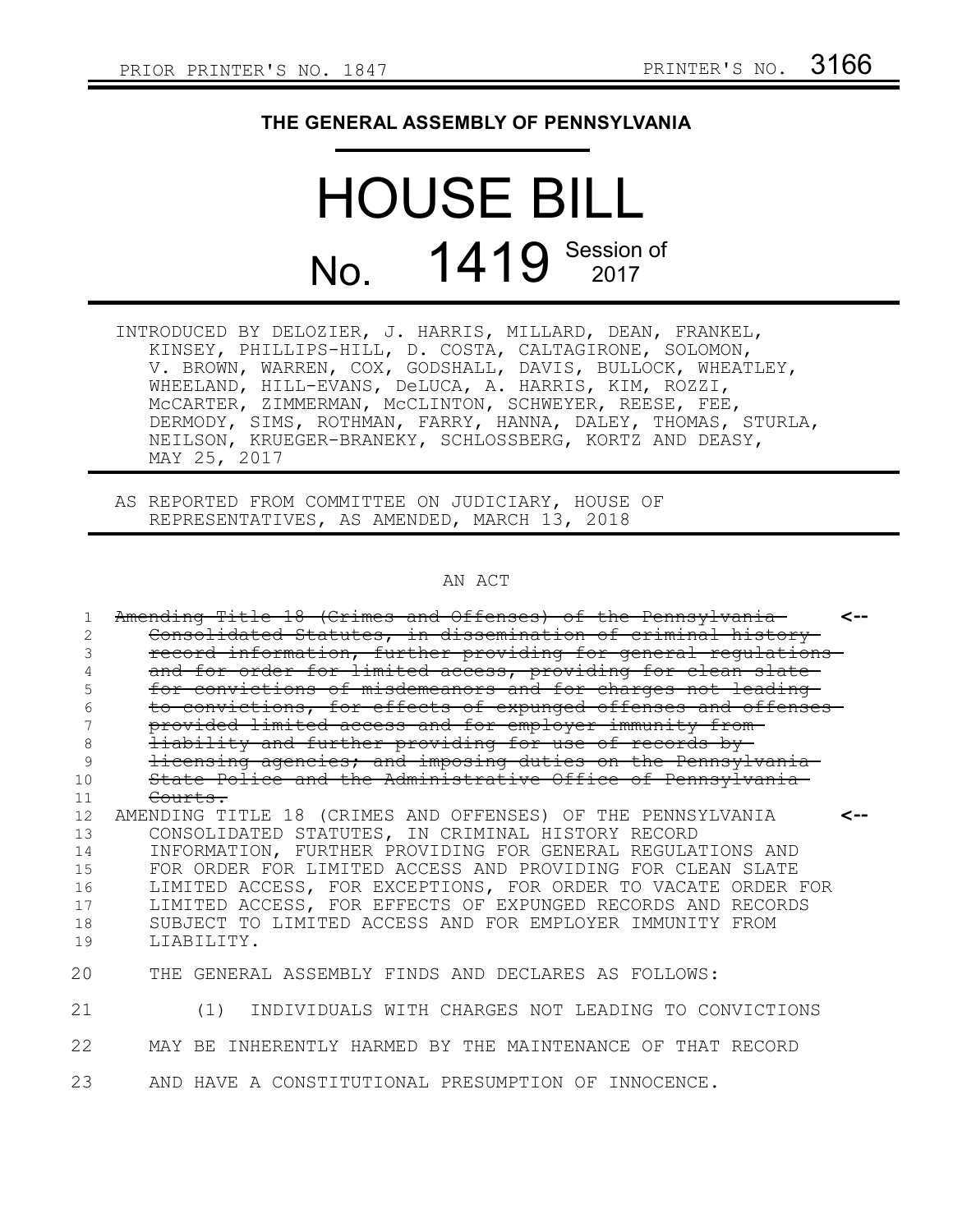## **THE GENERAL ASSEMBLY OF PENNSYLVANIA**

## HOUSE BILL No. 1419 Session of

INTRODUCED BY DELOZIER, J. HARRIS, MILLARD, DEAN, FRANKEL, KINSEY, PHILLIPS-HILL, D. COSTA, CALTAGIRONE, SOLOMON, V. BROWN, WARREN, COX, GODSHALL, DAVIS, BULLOCK, WHEATLEY, WHEELAND, HILL-EVANS, DeLUCA, A. HARRIS, KIM, ROZZI, McCARTER, ZIMMERMAN, McCLINTON, SCHWEYER, REESE, FEE, DERMODY, SIMS, ROTHMAN, FARRY, HANNA, DALEY, THOMAS, STURLA, NEILSON, KRUEGER-BRANEKY, SCHLOSSBERG, KORTZ AND DEASY, MAY 25, 2017

AS REPORTED FROM COMMITTEE ON JUDICIARY, HOUSE OF REPRESENTATIVES, AS AMENDED, MARCH 13, 2018

## AN ACT

| 1. | Amending Title 18 (Crimes and Offenses) of the Pennsylvania    | <-- |
|----|----------------------------------------------------------------|-----|
| 2  | Consolidated Statutes, in dissemination of criminal history    |     |
| 3  | record information, further providing for general regulations- |     |
| 4  | and for order for limited access, providing for clean slate    |     |
| 5  | for convictions of misdemeanors and for charges not leading    |     |
| 6  | to convictions, for effects of expunged offenses and offenses  |     |
| 7  | provided limited access and for employer immunity from-        |     |
| 8  | liability and further providing for use of records by-         |     |
| 9  | licensing agencies; and imposing duties on the Pennsylvania    |     |
| 10 | State Police and the Administrative Office of Pennsylvania     |     |
| 11 | Courts.                                                        |     |
| 12 | AMENDING TITLE 18 (CRIMES AND OFFENSES) OF THE PENNSYLVANIA    | <-- |
| 13 | CONSOLIDATED STATUTES, IN CRIMINAL HISTORY RECORD              |     |
| 14 | INFORMATION, FURTHER PROVIDING FOR GENERAL REGULATIONS AND     |     |
| 15 | FOR ORDER FOR LIMITED ACCESS AND PROVIDING FOR CLEAN SLATE     |     |
| 16 | LIMITED ACCESS, FOR EXCEPTIONS, FOR ORDER TO VACATE ORDER FOR  |     |
| 17 | LIMITED ACCESS, FOR EFFECTS OF EXPUNGED RECORDS AND RECORDS    |     |
| 18 | SUBJECT TO LIMITED ACCESS AND FOR EMPLOYER IMMUNITY FROM       |     |
| 19 | LIABILITY.                                                     |     |
| 20 | THE GENERAL ASSEMBLY FINDS AND DECLARES AS FOLLOWS:            |     |
| 21 | INDIVIDUALS WITH CHARGES NOT LEADING TO CONVICTIONS<br>(1)     |     |
| 22 | MAY BE INHERENTLY HARMED BY THE MAINTENANCE OF THAT RECORD     |     |
| 23 | AND HAVE A CONSTITUTIONAL PRESUMPTION OF INNOCENCE.            |     |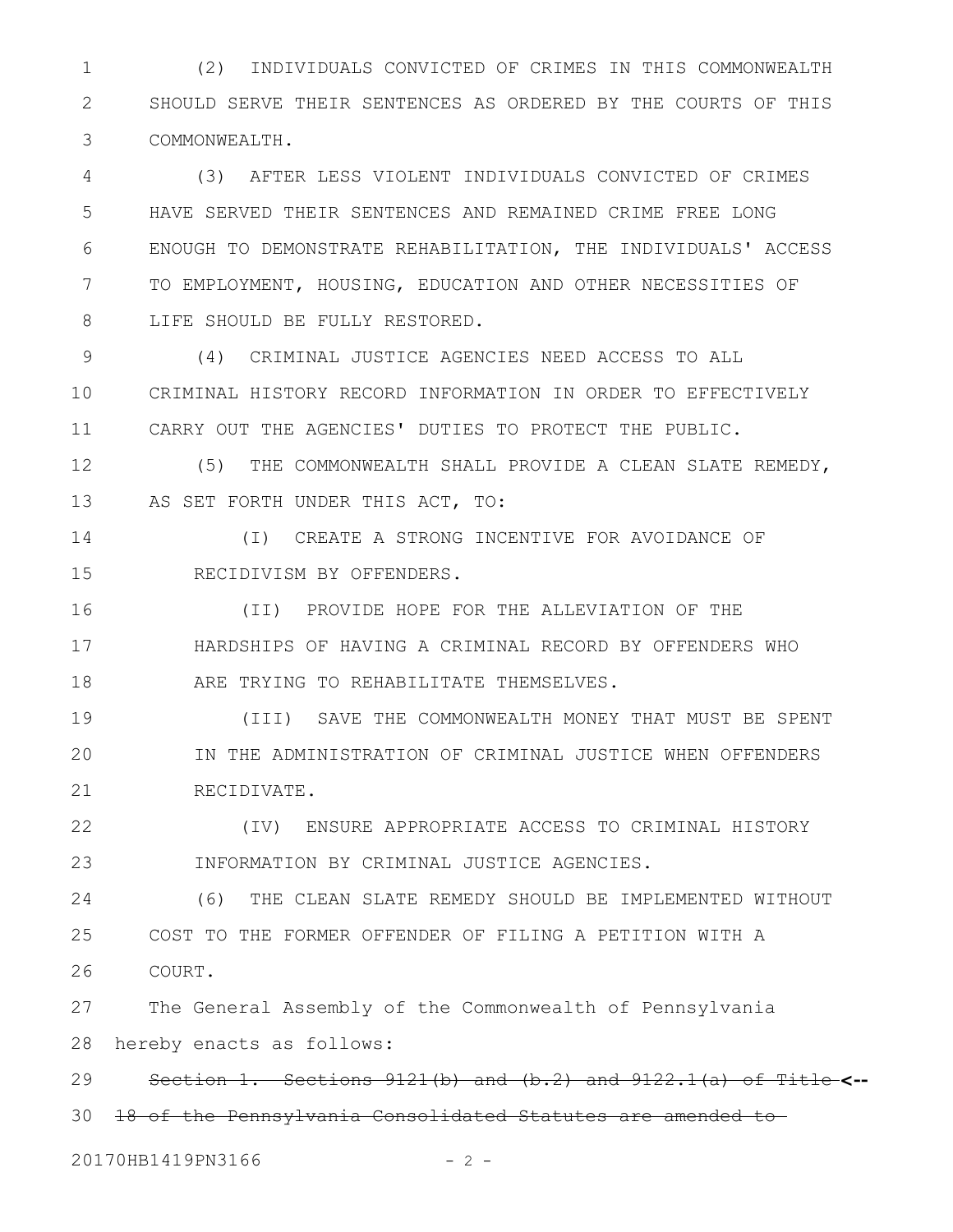(2) INDIVIDUALS CONVICTED OF CRIMES IN THIS COMMONWEALTH SHOULD SERVE THEIR SENTENCES AS ORDERED BY THE COURTS OF THIS COMMONWEALTH. 1 2 3

(3) AFTER LESS VIOLENT INDIVIDUALS CONVICTED OF CRIMES HAVE SERVED THEIR SENTENCES AND REMAINED CRIME FREE LONG ENOUGH TO DEMONSTRATE REHABILITATION, THE INDIVIDUALS' ACCESS TO EMPLOYMENT, HOUSING, EDUCATION AND OTHER NECESSITIES OF LIFE SHOULD BE FULLY RESTORED. 4 5 6 7 8

(4) CRIMINAL JUSTICE AGENCIES NEED ACCESS TO ALL CRIMINAL HISTORY RECORD INFORMATION IN ORDER TO EFFECTIVELY CARRY OUT THE AGENCIES' DUTIES TO PROTECT THE PUBLIC. 9 10 11

(5) THE COMMONWEALTH SHALL PROVIDE A CLEAN SLATE REMEDY, AS SET FORTH UNDER THIS ACT, TO: 12 13

(I) CREATE A STRONG INCENTIVE FOR AVOIDANCE OF RECIDIVISM BY OFFENDERS. 14 15

(II) PROVIDE HOPE FOR THE ALLEVIATION OF THE HARDSHIPS OF HAVING A CRIMINAL RECORD BY OFFENDERS WHO ARE TRYING TO REHABILITATE THEMSELVES. 16 17 18

(III) SAVE THE COMMONWEALTH MONEY THAT MUST BE SPENT IN THE ADMINISTRATION OF CRIMINAL JUSTICE WHEN OFFENDERS RECIDIVATE. 19 20 21

(IV) ENSURE APPROPRIATE ACCESS TO CRIMINAL HISTORY INFORMATION BY CRIMINAL JUSTICE AGENCIES. 22 23

(6) THE CLEAN SLATE REMEDY SHOULD BE IMPLEMENTED WITHOUT COST TO THE FORMER OFFENDER OF FILING A PETITION WITH A COURT. 24 25 26

The General Assembly of the Commonwealth of Pennsylvania hereby enacts as follows: 27 28

Section 1. Sections 9121(b) and (b.2) and 9122.1(a) of Title **<--** 29

18 of the Pennsylvania Consolidated Statutes are amended to 30

20170HB1419PN3166 - 2 -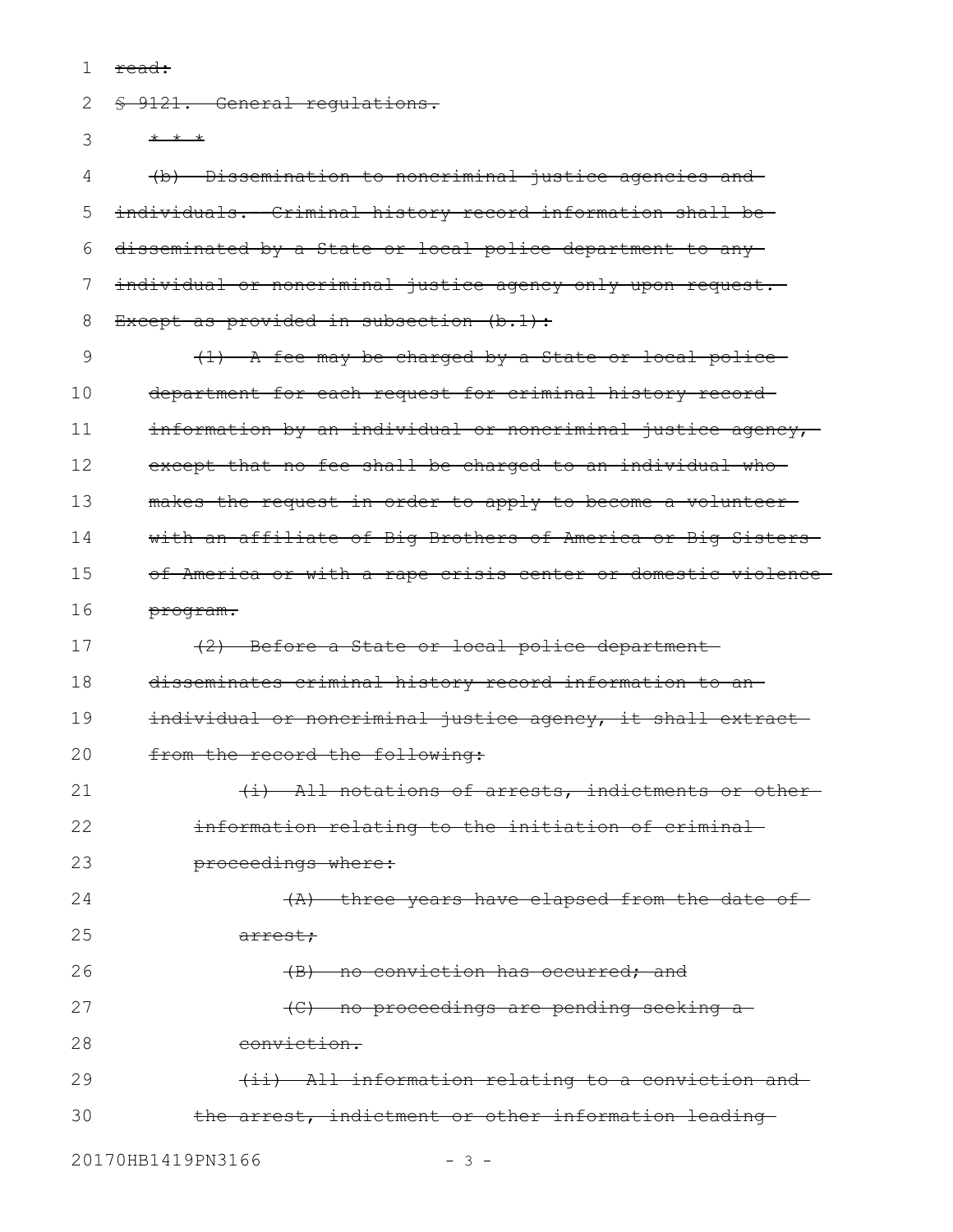read: 1

§ 9121. General regulations. \* \* \* (b) Dissemination to noncriminal justice agencies and individuals. - Criminal history record information shall be-2 3 4 5

disseminated by a State or local police department to any individual or noncriminal justice agency only upon request. Except as provided in subsection (b.1): 6 7 8

(1) A fee may be charged by a State or local police department for each request for criminal history record information by an individual or noncriminal justice agency, except that no fee shall be charged to an individual whomakes the request in order to apply to become a volunteer with an affiliate of Big Brothers of America or Big Sisters of America or with a rape crisis center or domestic violence program. 9 10 11 12 13 14 15 16

(2) Before a State or local police department disseminates criminal history record information to an individual or noncriminal justice agency, it shall extract from the record the following: 17 18 19 20

(i) All notations of arrests, indictments or other information relating to the initiation of criminal proceedings where: (A) three years have elapsed from the date of arrest; (B) no conviction has occurred; and (C) no proceedings are pending seeking a 21 22 23 24 25 26 27

conviction. 28

(ii) All information relating to a conviction and the arrest, indictment or other information leading 29 30

20170HB1419PN3166 - 3 -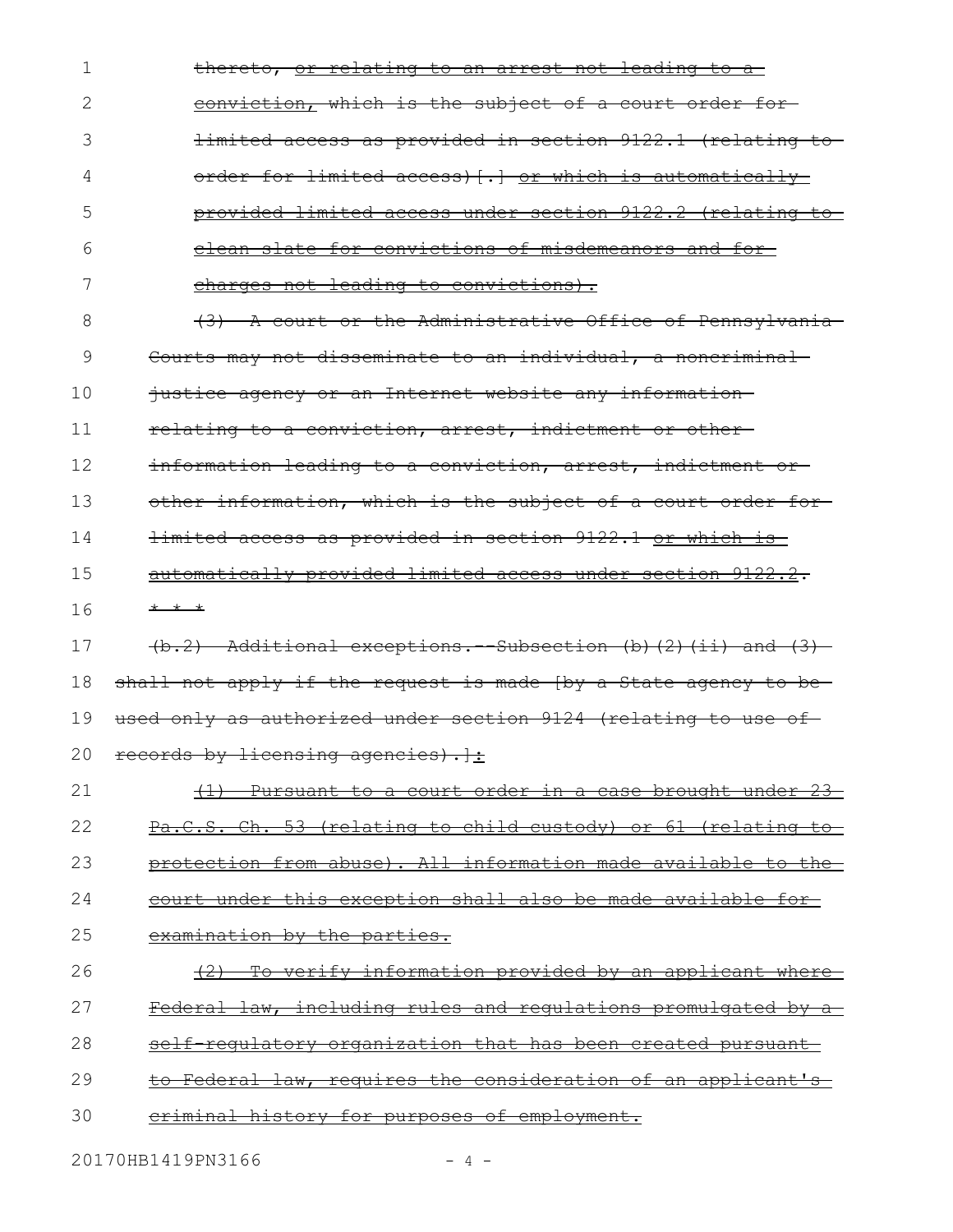thereto, or relating to an arrest not leading to a conviction, which is the subject of a court order for limited access as provided in section 9122.1 (relating to order for limited access) [.] or which is automatically provided limited access under section 9122.2 (relating to clean slate for convictions of misdemeanors and for charges not leading to convictions). (3) A court or the Administrative Office of Pennsylvania Courts may not disseminate to an individual, a noncriminal justice agency or an Internet website any information relating to a conviction, arrest, indictment or other information leading to a conviction, arrest, indictment or other information, which is the subject of a court order for limited access as provided in section 9122.1 or which is automatically provided limited access under section 9122.2. \* \* \* (b.2) Additional exceptions.--Subsection (b)(2)(ii) and (3) shall not apply if the request is made [by a State agency to beused only as authorized under section 9124 (relating to use ofrecords by licensing agencies).  $\cdot$  $(1)$  Pursuant to a court order in a case brought under 23 Pa.C.S. Ch. 53 (relating to child custody) or 61 (relating to protection from abuse). All information made available to the court under this exception shall also be made available for examination by the parties. (2) To verify information provided by an applicant where Federal law, including rules and regulations promulgated by a self regulatory organization that has been created pursuant to Federal law, requires the consideration of an applicant's criminal history for purposes of employment. 1 2 3 4 5 6 7 8 9 10 11 12 13 14 15 16 17 18 19 20 21 22 23 24 25 26 27 28 29 30

20170HB1419PN3166 - 4 -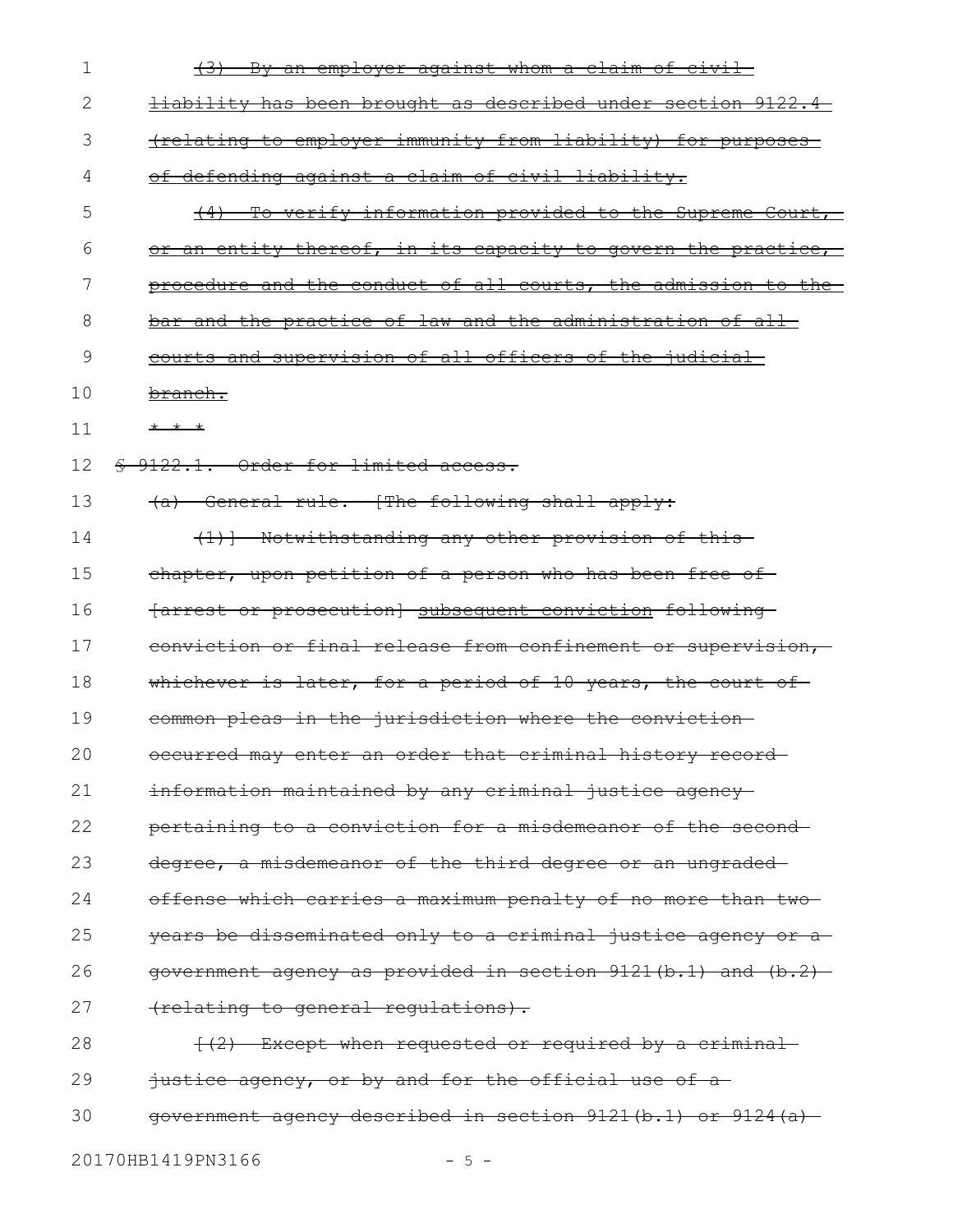| 1  | <u>By an employer against whom a claim of civil</u>                  |
|----|----------------------------------------------------------------------|
| 2  | <u>liability has been brought as described under section 9122.4-</u> |
| 3  | (relating to employer immunity from liability) for purposes          |
| 4  | of defending against a claim of civil liability.                     |
| 5  | <u>To verify information provided to the Supreme Court, </u>         |
| 6  | or an entity thereof, in its capacity to govern the practice,        |
| 7  | procedure and the conduct of all courts, the admission to the        |
| 8  | bar and the practice of law and the administration of all-           |
| 9  | courts and supervision of all officers of the judicial               |
| 10 | <del>branch.</del>                                                   |
| 11 | * * *                                                                |
| 12 | \$ 9122.1. Order for limited access.                                 |
| 13 | (a) General rule.--[The following shall apply:                       |
| 14 | (1) ] Notwithstanding any other provision of this                    |
| 15 | chapter, upon petition of a person who has been free of              |
| 16 | {arrest or prosecution} subsequent conviction following-             |
| 17 | conviction or final release from confinement or supervision,         |
| 18 | whichever is later, for a period of 10 years, the court of           |
| 19 | common pleas in the jurisdiction where the conviction-               |
| 20 | occurred may enter an order that criminal history record-            |
| 21 | information maintained by any criminal justice agency-               |
| 22 | pertaining to a conviction for a misdemeanor of the second-          |
| 23 | degree, a misdemeanor of the third degree or an ungraded-            |
| 24 | offense which carries a maximum penalty of no more than two-         |
| 25 | years be disseminated only to a criminal justice agency or a         |
| 26 | government agency as provided in section 9121(b.1) and (b.2)-        |
| 27 | (relating to general regulations).                                   |
| 28 | $\{ (2)$ Except when requested or required by a criminal             |
| 29 | justice agency, or by and for the official use of a-                 |
| 30 | government agency described in section 9121(b.1) or 9124(a)          |
|    |                                                                      |

20170HB1419PN3166 - 5 -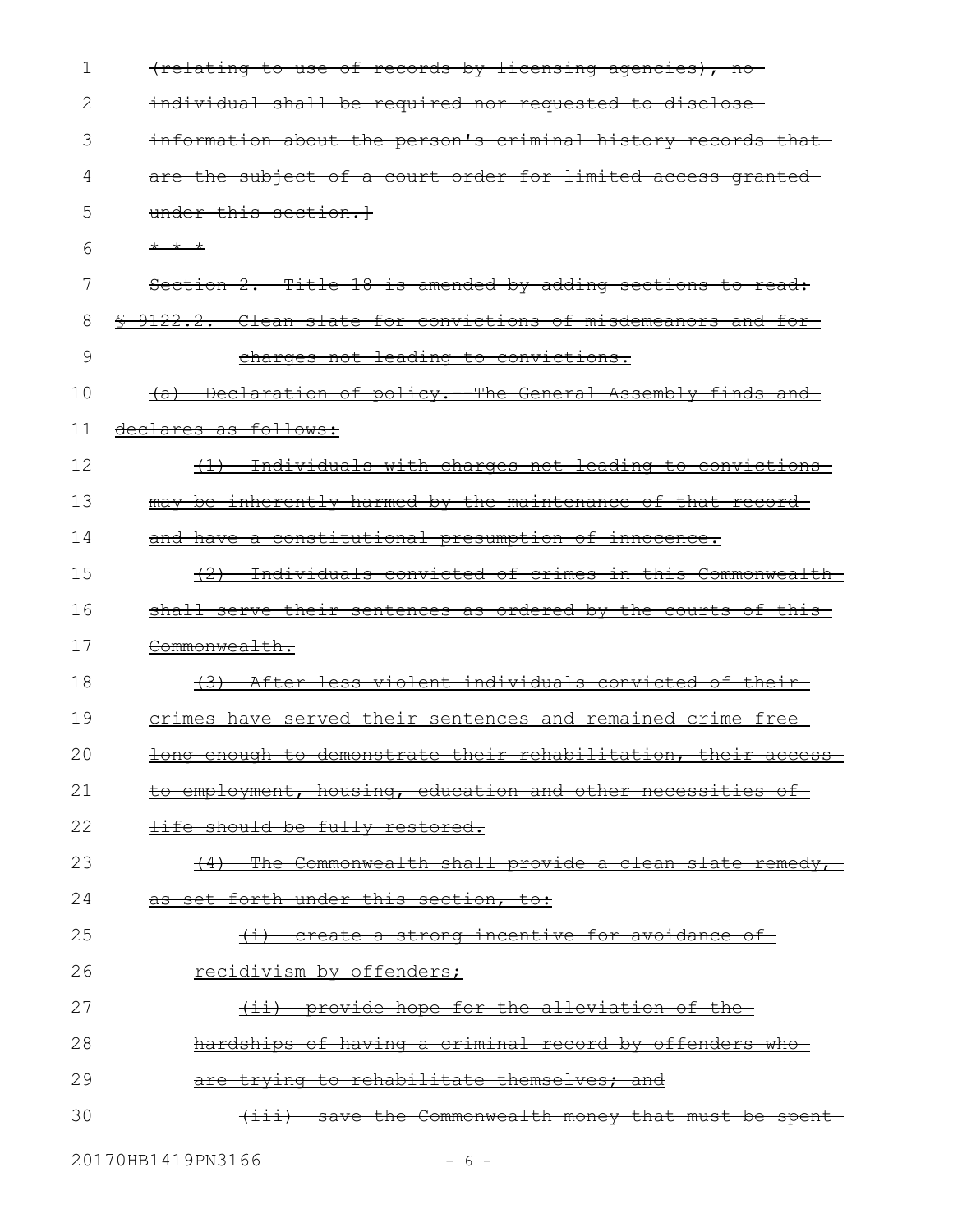| $\mathbf 1$ | (relating to use of records by licensing agencies), no               |
|-------------|----------------------------------------------------------------------|
| 2           | individual shall be required nor requested to disclose-              |
| 3           | information about the person's criminal history records that         |
| 4           | are the subject of a court order for limited access granted-         |
| 5           | under this section. <sup>1</sup>                                     |
| 6           | $+$ $+$ $+$                                                          |
| 7           | Section 2. Title 18 is amended by adding sections to read:           |
| 8           | \$ 9122.2. Clean slate for convictions of misdemeanors and for-      |
| 9           | charges not leading to convictions.                                  |
| 10          | (a) Declaration of policy. The General Assembly finds and            |
| 11          | declares as follows:                                                 |
| 12          | (1) Individuals with charges not leading to convictions              |
| 13          | may be inherently harmed by the maintenance of that record-          |
| 14          | and have a constitutional presumption of innocence.                  |
| 15          | Individuals convicted of crimes in this Commonwealth                 |
| 16          | shall serve their sentences as ordered by the courts of this-        |
| 17          | Commonwealth.                                                        |
| 18          | After less violent individuals convicted of their-<br><del>(3)</del> |
| 19          | <u>erimes have served their sentences and remained crime free</u>    |
| 20          | long enough to demonstrate their rehabilitation, their access        |
| 21          | to employment, housing, education and other necessities of           |
| 22          | life should be fully restored.                                       |
| 23          | The Commonwealth shall provide a clean slate remedy,                 |
| 24          | as set forth under this section, to:                                 |
| 25          | (i) create a strong incentive for avoidance of                       |
| 26          | recidivism by offenders;                                             |
| 27          | provide hope for the alleviation of the-<br>$\overline{+i}$          |
| 28          | hardships of having a criminal record by offenders who-              |
| 29          | trying to rehabilitate themselves; and                               |
| 30          | save the Commonwealth money that must be spent<br>$\overline{+}$     |

20170HB1419PN3166 - 6 -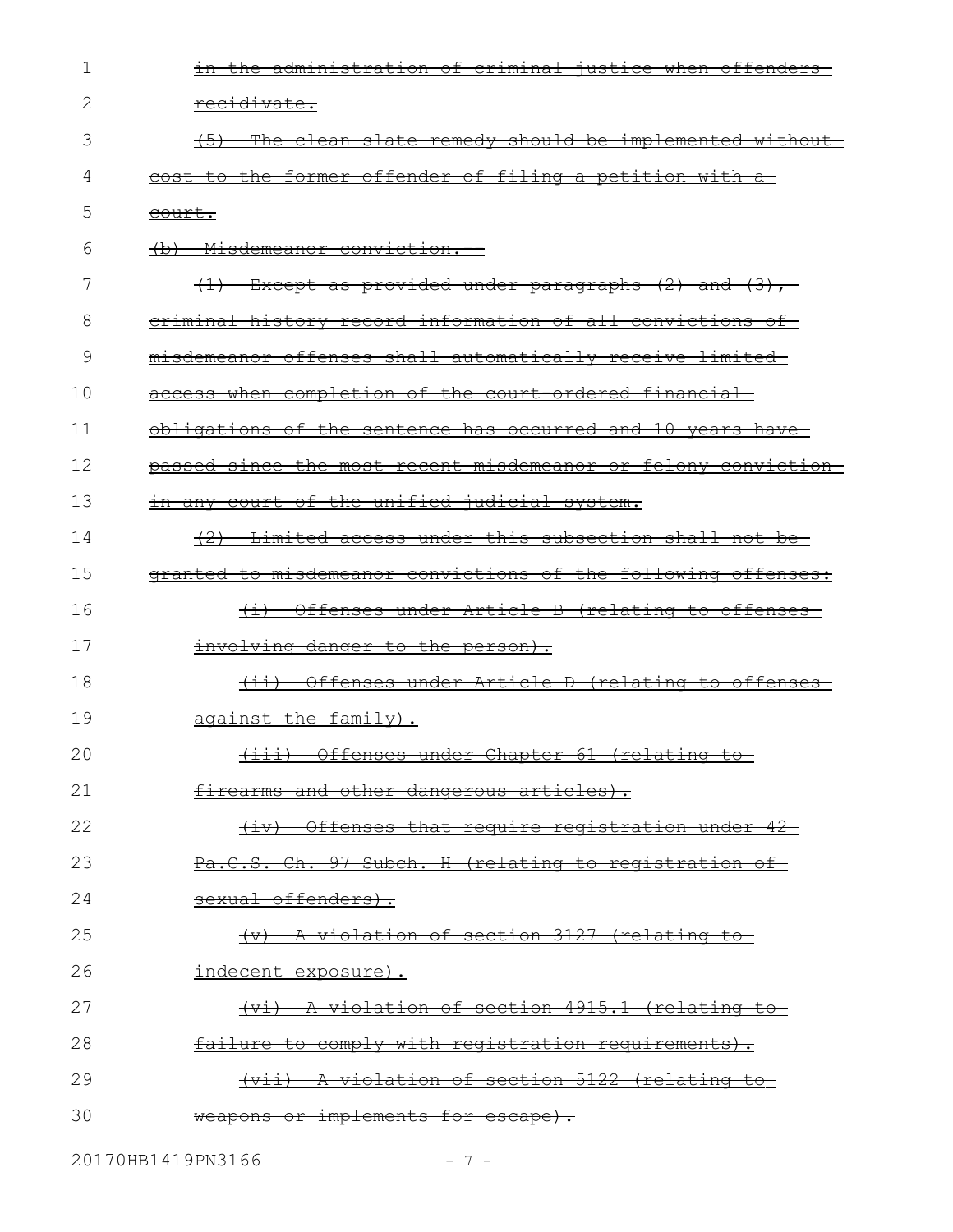| 1  | in the administration of criminal justice when offenders-     |
|----|---------------------------------------------------------------|
| 2  | <del>recidivate.</del>                                        |
| 3  | The clean slate remedy should be implemented without          |
| 4  | cost to the former offender of filing a petition with a       |
| 5  | <del>court.</del>                                             |
| 6  | <del>(b) Misdemeanor conviction. -</del>                      |
| 7  | $(1)$ Except as provided under paragraphs $(2)$ and $(3)$ ,   |
| 8  | eriminal history record information of all convictions of     |
| 9  | misdemeanor offenses shall automatically receive limited-     |
| 10 | access when completion of the court ordered financial-        |
| 11 | obligations of the sentence has occurred and 10 years have    |
| 12 | passed since the most recent misdemeanor or felony conviction |
| 13 | in any court of the unified judicial system.                  |
| 14 | (2) Limited access under this subsection shall not be         |
| 15 | granted to misdemeanor convictions of the following offenses: |
| 16 | (i) Offenses under Article B (relating to offenses            |
| 17 | involving danger to the person).                              |
| 18 | (ii) Offenses under Article D (relating to offenses           |
| 19 | $a$ gainst the family).                                       |
| 20 | (iii) Offenses under Chapter 61 (relating to                  |
| 21 | firearms and other dangerous articles).                       |
| 22 | (iv) Offenses that require registration under 42              |
| 23 | Pa.C.S. Ch. 97 Subch. H (relating to registration of          |
| 24 | sexual offenders).                                            |
| 25 | (v) A violation of section 3127 (relating to-                 |
| 26 | <del>indecent exposure).</del>                                |
| 27 | (vi) A violation of section 4915.1 (relating to               |
| 28 | failure to comply with registration requirements).            |
| 29 | (vii) A violation of section 5122 (relating to                |
| 30 | weapons or implements for escape).                            |
|    |                                                               |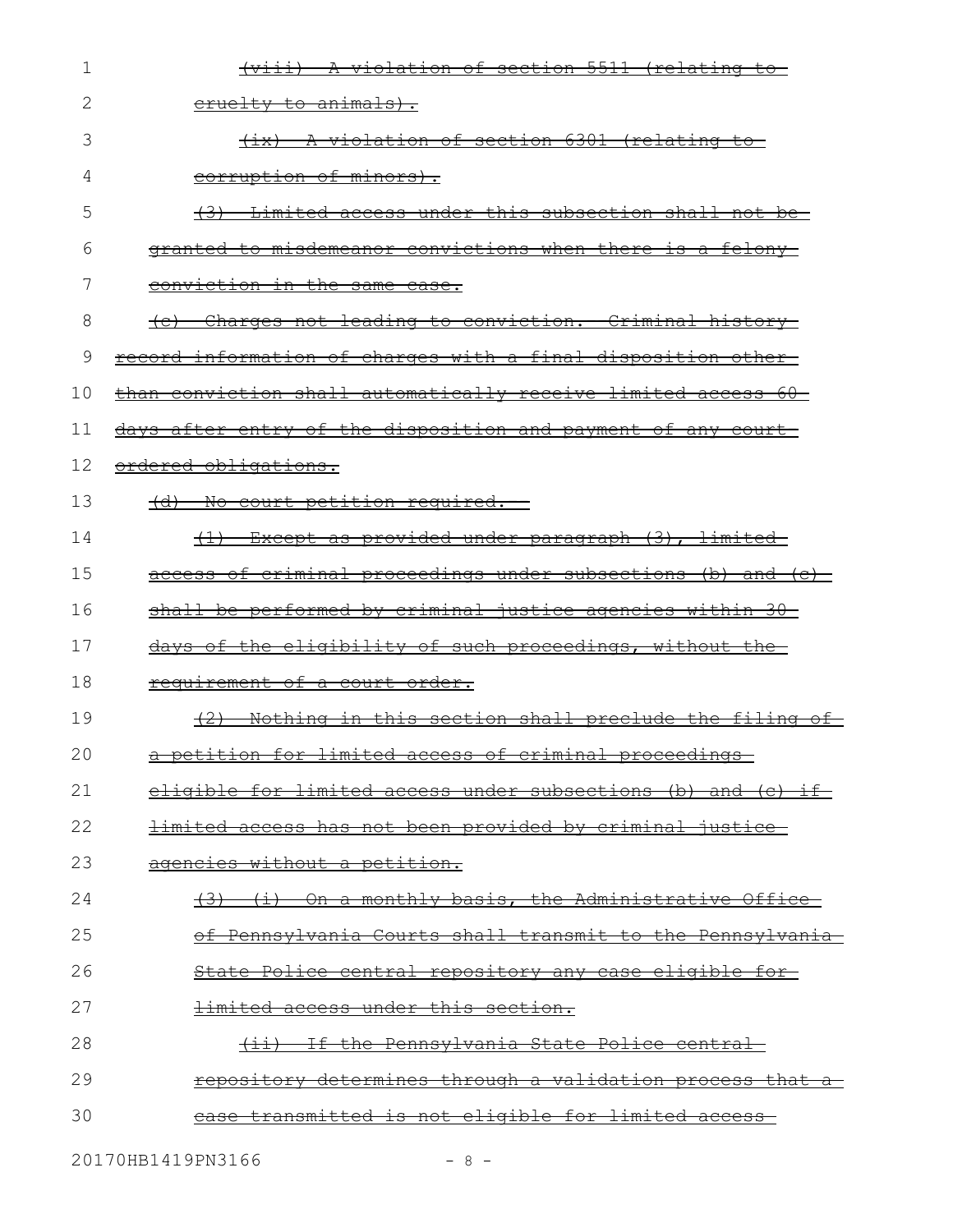| 1  | (viii) A violation of section 5511 (relating to                  |
|----|------------------------------------------------------------------|
| 2  | <u>cruelty to animals).</u>                                      |
| 3  | (ix) A violation of section 6301 (relating to-                   |
| 4  | corruption of minors).                                           |
| 5  | (3) Limited access under this subsection shall not be            |
| 6  | granted to misdemeanor convictions when there is a felony-       |
| 7  | conviction in the same case.                                     |
| 8  | <u>(c) Charges not leading to conviction. Criminal history-</u>  |
| 9  | record information of charges with a final disposition other-    |
| 10 | than conviction shall automatically receive limited access 60    |
| 11 | days after entry of the disposition and payment of any court-    |
| 12 | ordered obligations.                                             |
| 13 | (d) No court petition required.--                                |
| 14 | <del>(1) Except as provided under paragraph (3), limited</del>   |
| 15 | access of criminal proceedings under subsections (b) and (c)     |
| 16 | shall be performed by criminal justice agencies within 30        |
| 17 | days of the eligibility of such proceedings, without the         |
| 18 | requirement of a court order.                                    |
| 19 | (2) Nothing in this section shall preclude the filing of         |
| 20 | a petition for limited access of criminal proceedings            |
| 21 | eligible for limited access under subsections (b) and (c) if     |
| 22 | <u>limited access has not been provided by criminal justice-</u> |
| 23 | agencies without a petition.                                     |
| 24 | (3) (i) On a monthly basis, the Administrative Office            |
| 25 | of Pennsylvania Courts shall transmit to the Pennsylvania        |
| 26 | <u>State Police central repository any case eligible for-</u>    |
| 27 | limited access under this section.                               |
| 28 | (ii) If the Pennsylvania State Police central                    |
| 29 | repository determines through a validation process that a        |
| 30 | <u>transmitted is not eligible for limited access</u>            |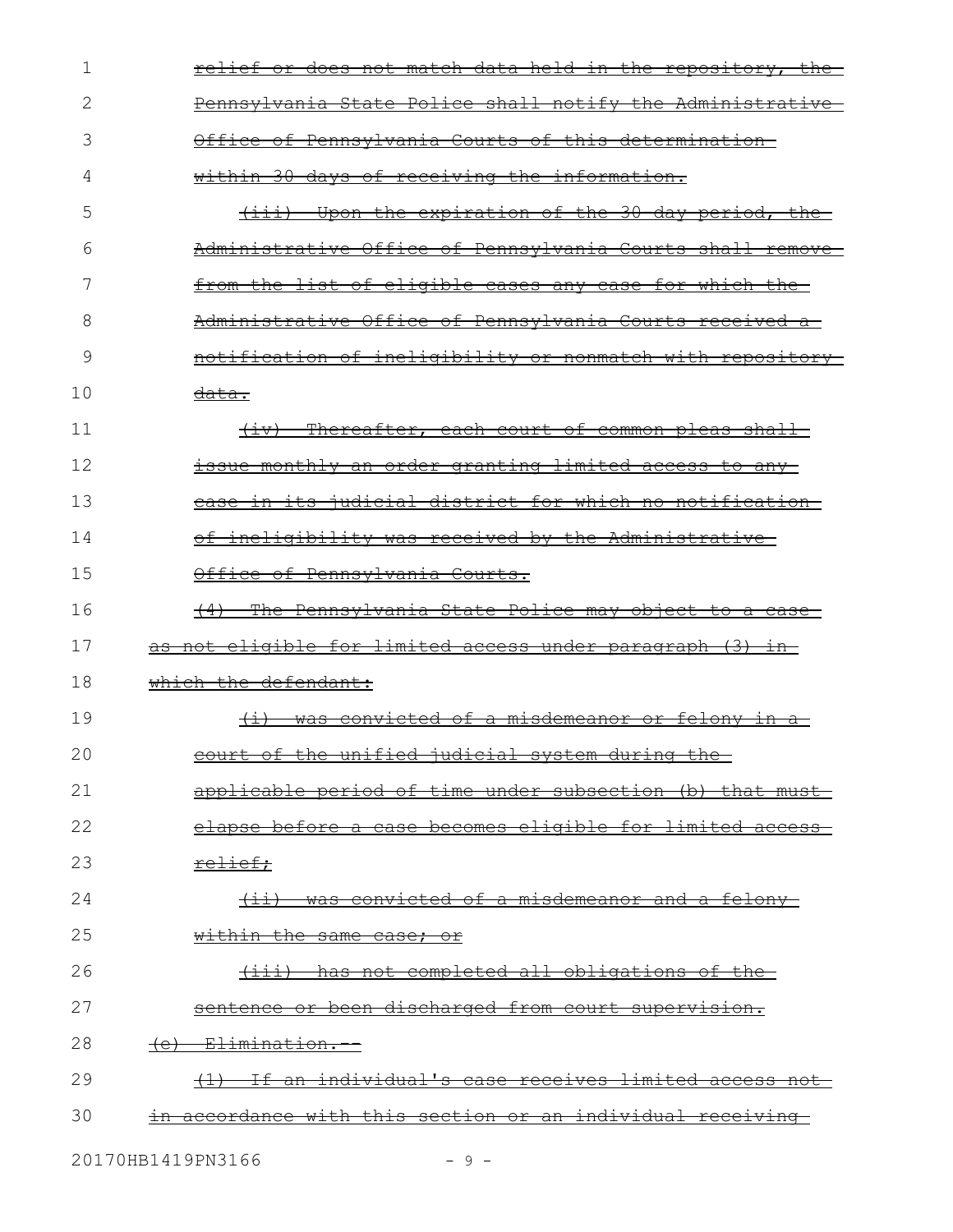| 1  | <u>relief or does not match data held in the repository, the-</u> |
|----|-------------------------------------------------------------------|
| 2  | Pennsylvania State Police shall notify the Administrative         |
| 3  | Office of Pennsylvania Courts of this determination-              |
| 4  | within 30 days of receiving the information.                      |
| 5  | (iii) Upon the expiration of the 30 day period, the               |
| 6  | Administrative Office of Pennsylvania Courts shall remove         |
| 7  | from the list of eligible cases any case for which the            |
| 8  | Administrative Office of Pennsylvania Courts received a-          |
| 9  | notification of ineligibility or nonmatch with repository-        |
| 10 | <del>data.</del>                                                  |
| 11 | (iv) Thereafter, each court of common pleas shall-                |
| 12 | issue monthly an order granting limited access to any             |
| 13 | ease in its judicial district for which no notification-          |
| 14 | of ineligibility was received by the Administrative-              |
| 15 | Office of Pennsylvania Courts.                                    |
| 16 | (4) The Pennsylvania State Police may object to a case            |
| 17 | as not eligible for limited access under paragraph (3) in         |
| 18 | which the defendant:                                              |
| 19 | <u>(i) was convicted of a misdemeanor or felony in a-</u>         |
| 20 | court of the unified judicial system during the                   |
| 21 | applicable period of time under subsection (b) that must-         |
| 22 | elapse before a case becomes eligible for limited access-         |
| 23 | <del>relief;</del>                                                |
| 24 | (ii) was convicted of a misdemeanor and a felony                  |
| 25 | within the same case; or                                          |
| 26 | <u>(iii) has not completed all obligations of the</u>             |
| 27 | sentence or been discharged from court supervision.               |
| 28 | (e) Elimination.                                                  |
| 29 | If an individual's case receives limited access not               |
| 30 | in accordance with this section or an individual receiving        |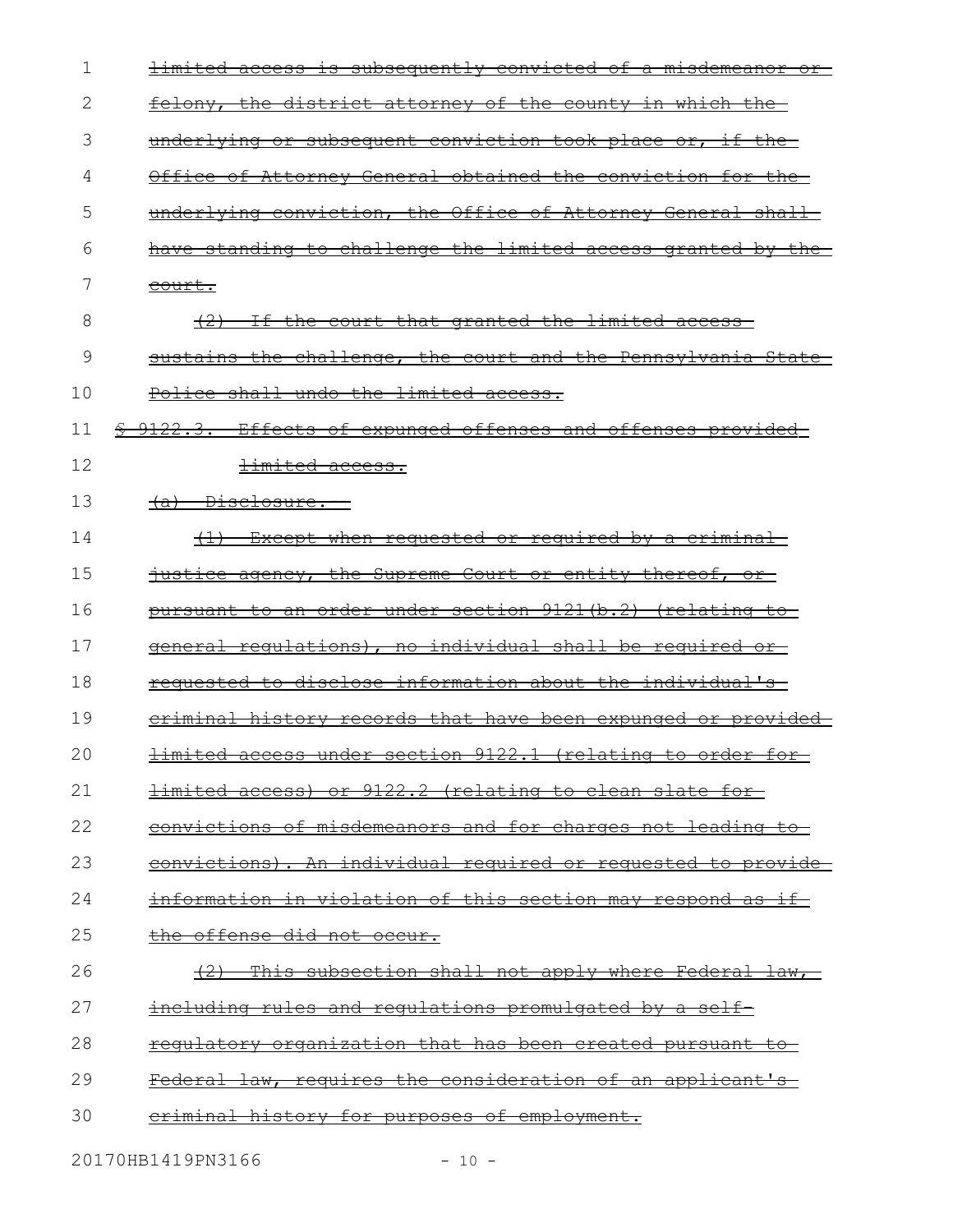| 1  | <u>limited access is subsequently convicted of a misdemeanor or-</u> |
|----|----------------------------------------------------------------------|
| 2  | <u>felony, the district attorney of the county in which the-</u>     |
| 3  | underlying or subsequent conviction took place or, if the            |
| 4  | Office of Attorney General obtained the conviction for the-          |
| 5  | underlying conviction, the Office of Attorney General shall          |
| 6  | have standing to challenge the limited access granted by the         |
| 7  | court.                                                               |
| 8  | If the court that granted the limited access                         |
| 9  | sustains the challenge, the court and the Pennsylvania State-        |
| 10 | Police shall undo the limited access.                                |
| 11 | \$ 9122.3. Effects of expunged offenses and offenses provided-       |
| 12 | <del>limited access.</del>                                           |
| 13 | <del>(a) Disclosure. --</del>                                        |
| 14 | <u>Except when requested or required by a criminal-</u>              |
| 15 | justice agency, the Supreme Court or entity thereof, or              |
| 16 | pursuant to an order under section 9121(b.2) (relating to            |
| 17 | general regulations), no individual shall be reguired or-            |
| 18 | requested to disclose information about the individual's             |
| 19 | eriminal history records that have been expunged or provided         |
| 20 | limited access under section 9122.1 (relating to order for           |
| 21 | <u>limited access) or 9122.2 (relating to clean slate for-</u>       |
| 22 | convictions of misdemeanors and for charges not leading to           |
| 23 | <u>convictions). An individual required or requested to provide-</u> |
| 24 | <u>information in violation of this section may respond as if-</u>   |
| 25 | <u>the offense did not occur.</u>                                    |
| 26 | (2) This subsection shall not apply where Federal law,               |
| 27 | including rules and requlations promulgated by a self-               |
| 28 | <u>requlatory organization that has been created pursuant to-</u>    |
| 29 | <u>Federal law, requires the consideration of an applicant's </u>    |
| 30 | criminal history for purposes of employment.                         |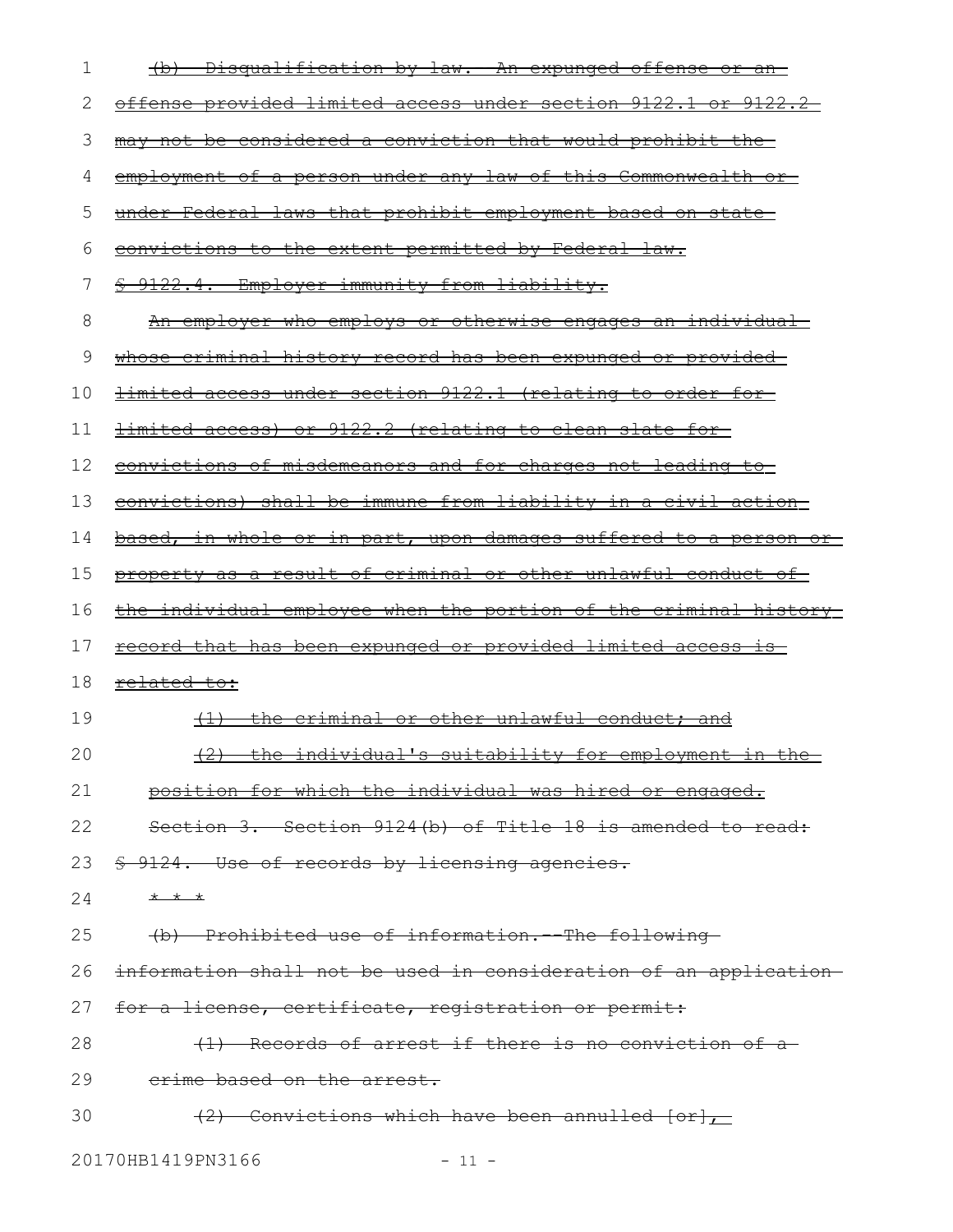| 1  | <u> Disqualification by law. An expunged offense or an-</u>              |
|----|--------------------------------------------------------------------------|
| 2  | <u>offense provided limited access under section 9122.1 or 9122.2 </u>   |
| 3  | may not be considered a conviction that would prohibit the               |
| 4  | employment of a person under any law of this Commonwealth or-            |
| 5  | under Federal laws that prohibit employment based on state               |
| 6  | convictions to the extent permitted by Federal law.                      |
| 7  | § 9122.4. Employer immunity from liability.                              |
| 8  | <u>An employer who employs or otherwise engages an individual-</u>       |
| 9  | <u>whose criminal history record has been expunged or provided-</u>      |
| 10 | limited access under section 9122.1 (relating to order for-              |
| 11 | limited access) or 9122.2 (relating to clean slate for-                  |
| 12 | convictions of misdemeanors and for charges not leading to               |
| 13 | convictions) shall be immune from liability in a civil action            |
| 14 | <u>based, in whole or in part, upon damages suffered to a person or-</u> |
| 15 | property as a result of criminal or other unlawful conduct of            |
| 16 | <u>the individual employee when the portion of the criminal history-</u> |
| 17 | <u>record that has been expunged or provided limited access is-</u>      |
| 18 | <del>related to:</del>                                                   |
| 19 | (1) the criminal or other unlawful conduct; and                          |
| 20 | (2) the individual's suitability for employment in the                   |
| 21 | position for which the individual was hired or engaged.                  |
| 22 | Section 3. Section 9124(b) of Title 18 is amended to read:               |
| 23 | \$ 9124. Use of records by licensing agencies.                           |
| 24 | $+$ $+$ $+$                                                              |
| 25 | (b) Prohibited use of information. The following                         |
| 26 | information shall not be used in consideration of an application         |
| 27 | for a license, certificate, registration or permit:                      |
| 28 | (1) Records of arrest if there is no conviction of a                     |
| 29 | erime based on the arrest.                                               |
| 30 | $(2)$ Convictions which have been annulled $[or]$                        |
|    |                                                                          |

20170HB1419PN3166 - 11 -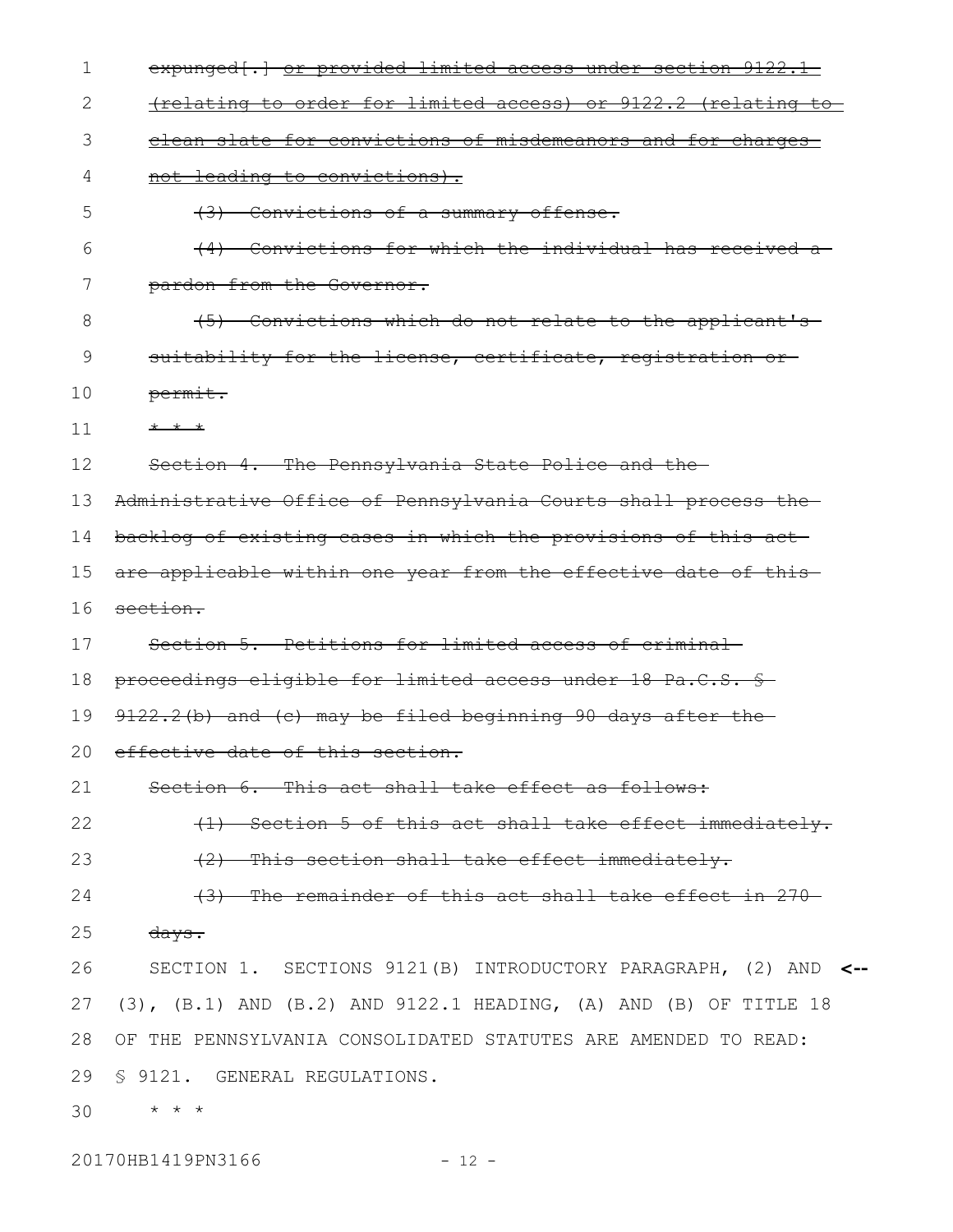| $\mathbf 1$ | expunged [.] or provided limited access under section 9122.1                  |
|-------------|-------------------------------------------------------------------------------|
| 2           | (relating to order for limited access) or 9122.2 (relating to                 |
| 3           | clean slate for convictions of misdemeanors and for charges                   |
| 4           | not leading to convictions).                                                  |
| 5           | (3) Convictions of a summary offense.                                         |
| 6           | (4) Convictions for which the individual has received a                       |
| 7           | pardon from the Governor.                                                     |
| 8           | (5) Convictions which do not relate to the applicant's                        |
| 9           | suitability for the license, certificate, registration or-                    |
| 10          | permit.                                                                       |
| 11          | * * *                                                                         |
| 12          | Section 4. The Pennsylvania State Police and the                              |
| 13          | Administrative Office of Pennsylvania Courts shall process the                |
| 14          | backlog of existing cases in which the provisions of this act                 |
| 15          | are applicable within one year from the effective date of this                |
| 16          | section.                                                                      |
| 17          | Section 5. Petitions for limited access of criminal-                          |
| 18          | proceedings eligible for limited access under 18 Pa.C.S. §                    |
| 19          | 9122.2(b) and (c) may be filed beginning 90 days after the                    |
| 20          | effective date of this section.                                               |
| 21          | Section 6. This act shall take effect as follows:                             |
| 22          | (1) Section 5 of this act shall take effect immediately.                      |
| 23          | (2) This section shall take effect immediately.                               |
| 24          | (3) The remainder of this act shall take effect in 270-                       |
| 25          | $\frac{days}{.}$                                                              |
| 26          | SECTION 1. SECTIONS 9121(B) INTRODUCTORY PARAGRAPH, (2) AND <--               |
| 27          | $(3)$ , $(B.1)$ AND $(B.2)$ AND $9122.1$ HEADING, $(A)$ AND $(B)$ OF TITLE 18 |
| 28          | OF THE PENNSYLVANIA CONSOLIDATED STATUTES ARE AMENDED TO READ:                |
| 29          | § 9121. GENERAL REGULATIONS.                                                  |
| 30          | $\star$ $\star$ $\star$                                                       |
|             |                                                                               |

20170HB1419PN3166 - 12 -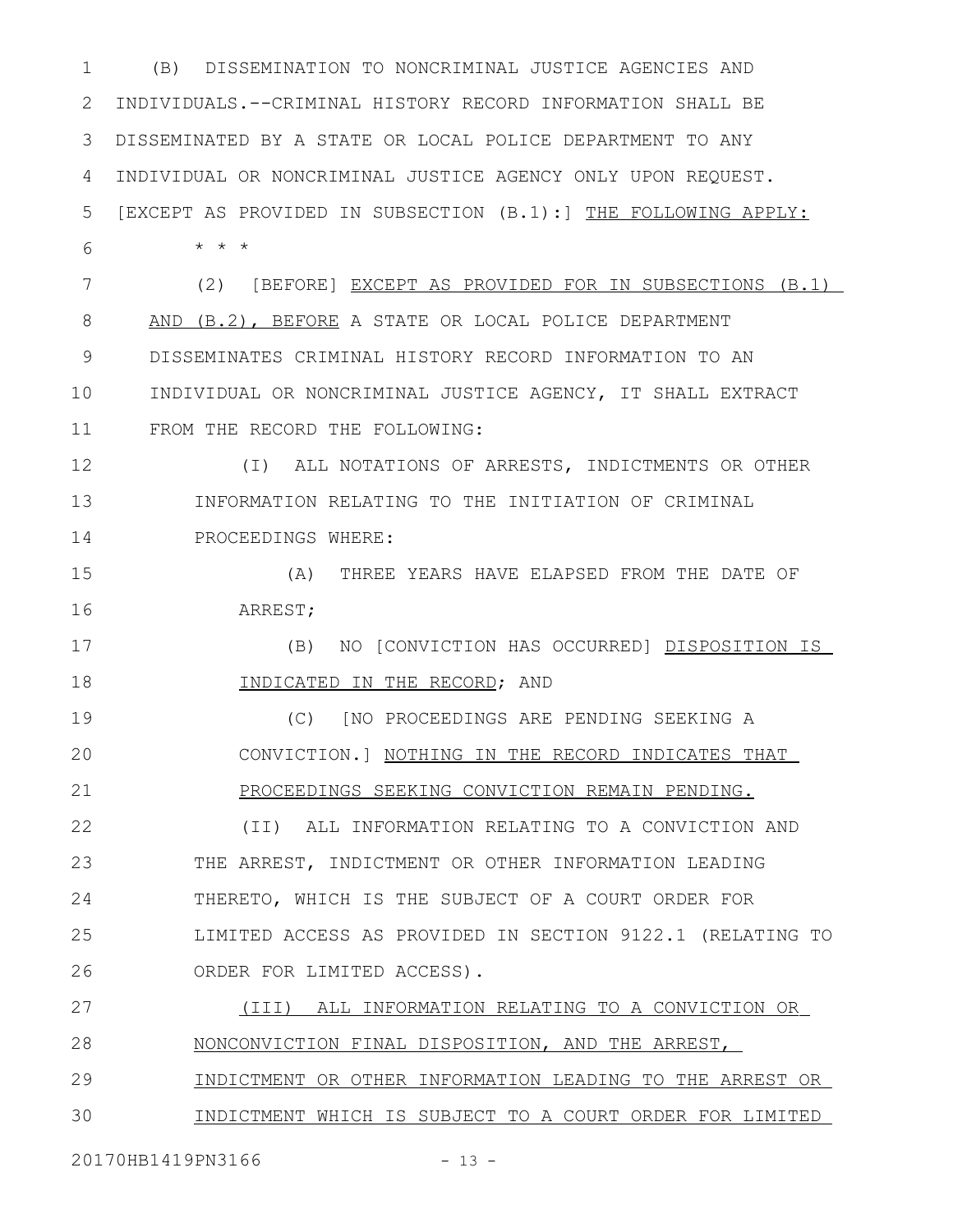(B) DISSEMINATION TO NONCRIMINAL JUSTICE AGENCIES AND 2 INDIVIDUALS. -- CRIMINAL HISTORY RECORD INFORMATION SHALL BE DISSEMINATED BY A STATE OR LOCAL POLICE DEPARTMENT TO ANY INDIVIDUAL OR NONCRIMINAL JUSTICE AGENCY ONLY UPON REQUEST. [EXCEPT AS PROVIDED IN SUBSECTION (B.1):] THE FOLLOWING APPLY: \* \* \* (2) [BEFORE] EXCEPT AS PROVIDED FOR IN SUBSECTIONS (B.1) AND (B.2), BEFORE A STATE OR LOCAL POLICE DEPARTMENT DISSEMINATES CRIMINAL HISTORY RECORD INFORMATION TO AN INDIVIDUAL OR NONCRIMINAL JUSTICE AGENCY, IT SHALL EXTRACT FROM THE RECORD THE FOLLOWING: (I) ALL NOTATIONS OF ARRESTS, INDICTMENTS OR OTHER INFORMATION RELATING TO THE INITIATION OF CRIMINAL PROCEEDINGS WHERE: (A) THREE YEARS HAVE ELAPSED FROM THE DATE OF ARREST; (B) NO [CONVICTION HAS OCCURRED] DISPOSITION IS INDICATED IN THE RECORD; AND (C) [NO PROCEEDINGS ARE PENDING SEEKING A CONVICTION.] NOTHING IN THE RECORD INDICATES THAT PROCEEDINGS SEEKING CONVICTION REMAIN PENDING. (II) ALL INFORMATION RELATING TO A CONVICTION AND THE ARREST, INDICTMENT OR OTHER INFORMATION LEADING THERETO, WHICH IS THE SUBJECT OF A COURT ORDER FOR LIMITED ACCESS AS PROVIDED IN SECTION 9122.1 (RELATING TO ORDER FOR LIMITED ACCESS). (III) ALL INFORMATION RELATING TO A CONVICTION OR NONCONVICTION FINAL DISPOSITION, AND THE ARREST, INDICTMENT OR OTHER INFORMATION LEADING TO THE ARREST OR INDICTMENT WHICH IS SUBJECT TO A COURT ORDER FOR LIMITED 1 3 4 5 6 7 8 9 10 11 12 13 14 15 16 17 18 19 20 21 22 23 24 25 26 27 28 29 30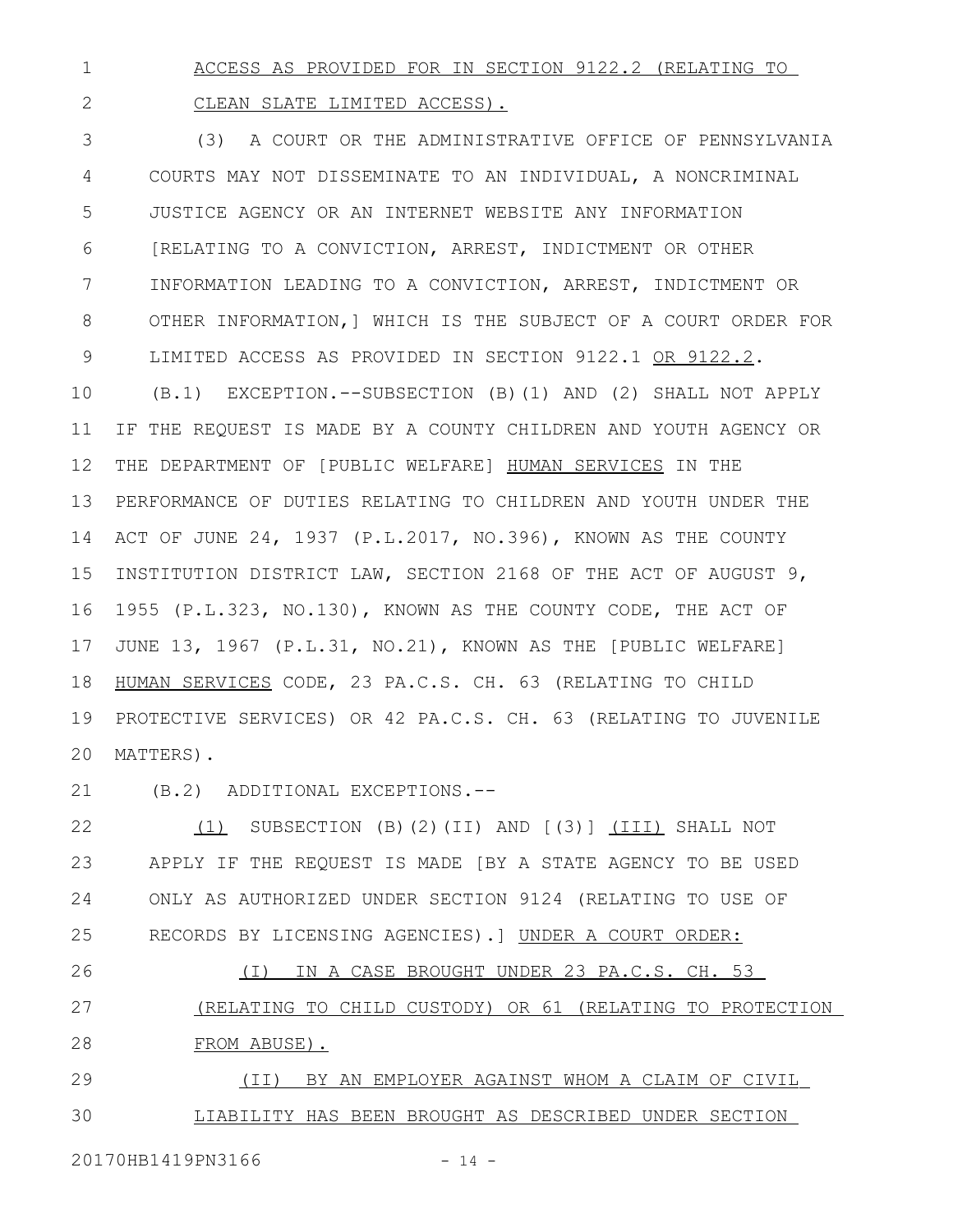ACCESS AS PROVIDED FOR IN SECTION 9122.2 (RELATING TO 1

CLEAN SLATE LIMITED ACCESS).

2

(3) A COURT OR THE ADMINISTRATIVE OFFICE OF PENNSYLVANIA COURTS MAY NOT DISSEMINATE TO AN INDIVIDUAL, A NONCRIMINAL JUSTICE AGENCY OR AN INTERNET WEBSITE ANY INFORMATION [RELATING TO A CONVICTION, ARREST, INDICTMENT OR OTHER INFORMATION LEADING TO A CONVICTION, ARREST, INDICTMENT OR OTHER INFORMATION,] WHICH IS THE SUBJECT OF A COURT ORDER FOR LIMITED ACCESS AS PROVIDED IN SECTION 9122.1 OR 9122.2. (B.1) EXCEPTION.--SUBSECTION (B)(1) AND (2) SHALL NOT APPLY IF THE REQUEST IS MADE BY A COUNTY CHILDREN AND YOUTH AGENCY OR THE DEPARTMENT OF [PUBLIC WELFARE] HUMAN SERVICES IN THE PERFORMANCE OF DUTIES RELATING TO CHILDREN AND YOUTH UNDER THE ACT OF JUNE 24, 1937 (P.L.2017, NO.396), KNOWN AS THE COUNTY INSTITUTION DISTRICT LAW, SECTION 2168 OF THE ACT OF AUGUST 9, 1955 (P.L.323, NO.130), KNOWN AS THE COUNTY CODE, THE ACT OF JUNE 13, 1967 (P.L.31, NO.21), KNOWN AS THE [PUBLIC WELFARE] HUMAN SERVICES CODE, 23 PA.C.S. CH. 63 (RELATING TO CHILD PROTECTIVE SERVICES) OR 42 PA.C.S. CH. 63 (RELATING TO JUVENILE MATTERS). 3 4 5 6 7 8 9 10 11 12 13 14 15 16 17 18 19 20

(B.2) ADDITIONAL EXCEPTIONS.-- 21

(1) SUBSECTION (B)(2)(II) AND [(3)] (III) SHALL NOT APPLY IF THE REQUEST IS MADE [BY A STATE AGENCY TO BE USED ONLY AS AUTHORIZED UNDER SECTION 9124 (RELATING TO USE OF RECORDS BY LICENSING AGENCIES).] UNDER A COURT ORDER: 22 23 24 25

 (I) IN A CASE BROUGHT UNDER 23 PA.C.S. CH. 53 (RELATING TO CHILD CUSTODY) OR 61 (RELATING TO PROTECTION FROM ABUSE). 26 27 28

 (II) BY AN EMPLOYER AGAINST WHOM A CLAIM OF CIVIL LIABILITY HAS BEEN BROUGHT AS DESCRIBED UNDER SECTION 29 30

20170HB1419PN3166 - 14 -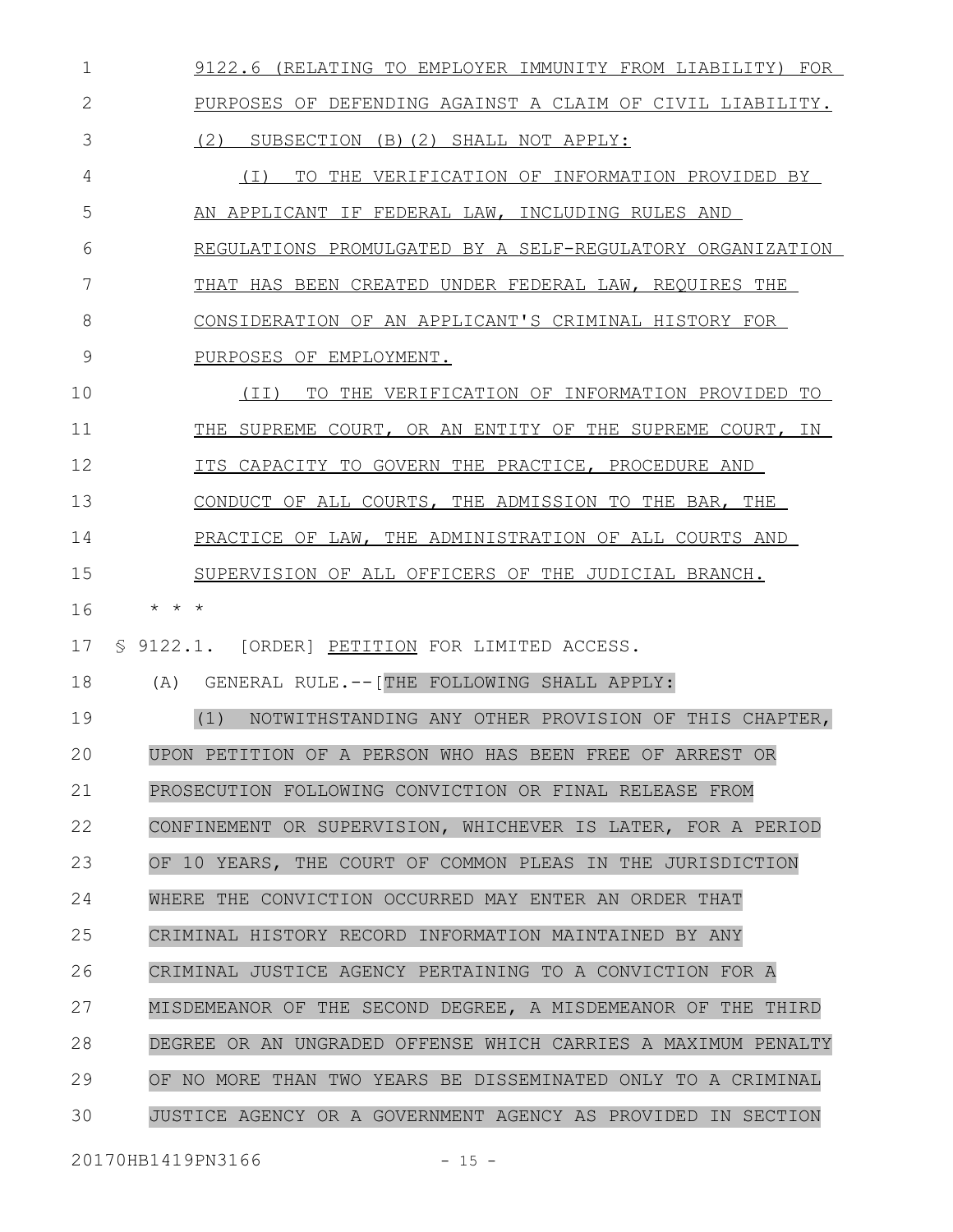|    | 9122.6 (RELATING TO EMPLOYER IMMUNITY FROM LIABILITY) FOR     |
|----|---------------------------------------------------------------|
| 2  | PURPOSES OF DEFENDING AGAINST A CLAIM OF CIVIL LIABILITY.     |
| 3  | (2) SUBSECTION (B)(2) SHALL NOT APPLY:                        |
| 4  | (I) TO THE VERIFICATION OF INFORMATION PROVIDED BY            |
| 5  | AN APPLICANT IF FEDERAL LAW, INCLUDING RULES AND              |
| 6  | REGULATIONS PROMULGATED BY A SELF-REGULATORY ORGANIZATION     |
| 7  | THAT HAS BEEN CREATED UNDER FEDERAL LAW, REQUIRES THE         |
| 8  | CONSIDERATION OF AN APPLICANT'S CRIMINAL HISTORY FOR          |
| 9  | PURPOSES OF EMPLOYMENT.                                       |
| 10 | TO THE VERIFICATION OF INFORMATION PROVIDED TO<br>(II)        |
| 11 | THE SUPREME COURT, OR AN ENTITY OF THE SUPREME COURT, IN      |
| 12 | ITS CAPACITY TO GOVERN THE PRACTICE, PROCEDURE AND            |
| 13 | CONDUCT OF ALL COURTS, THE ADMISSION TO THE BAR, THE          |
| 14 | PRACTICE OF LAW, THE ADMINISTRATION OF ALL COURTS AND         |
| 15 | SUPERVISION OF ALL OFFICERS OF THE JUDICIAL BRANCH.           |
| 16 | $\star$ $\star$ $\star$                                       |
| 17 | § 9122.1. [ORDER] PETITION FOR LIMITED ACCESS.                |
|    | (A) GENERAL RULE. -- [THE FOLLOWING SHALL APPLY:              |
| 18 |                                                               |
| 19 | (1)<br>NOTWITHSTANDING ANY OTHER PROVISION OF THIS CHAPTER,   |
| 20 | UPON PETITION OF A PERSON WHO HAS BEEN FREE OF ARREST OR      |
| 21 | PROSECUTION FOLLOWING CONVICTION OR FINAL RELEASE FROM        |
| 22 | CONFINEMENT OR SUPERVISION, WHICHEVER IS LATER, FOR A PERIOD  |
| 23 | OF 10 YEARS, THE COURT OF COMMON PLEAS IN THE JURISDICTION    |
| 24 | WHERE THE CONVICTION OCCURRED MAY ENTER AN ORDER THAT         |
| 25 | CRIMINAL HISTORY RECORD INFORMATION MAINTAINED BY ANY         |
| 26 | CRIMINAL JUSTICE AGENCY PERTAINING TO A CONVICTION FOR A      |
| 27 | MISDEMEANOR OF THE SECOND DEGREE, A MISDEMEANOR OF THE THIRD  |
| 28 | DEGREE OR AN UNGRADED OFFENSE WHICH CARRIES A MAXIMUM PENALTY |
| 29 | OF NO MORE THAN TWO YEARS BE DISSEMINATED ONLY TO A CRIMINAL  |

20170HB1419PN3166 - 15 -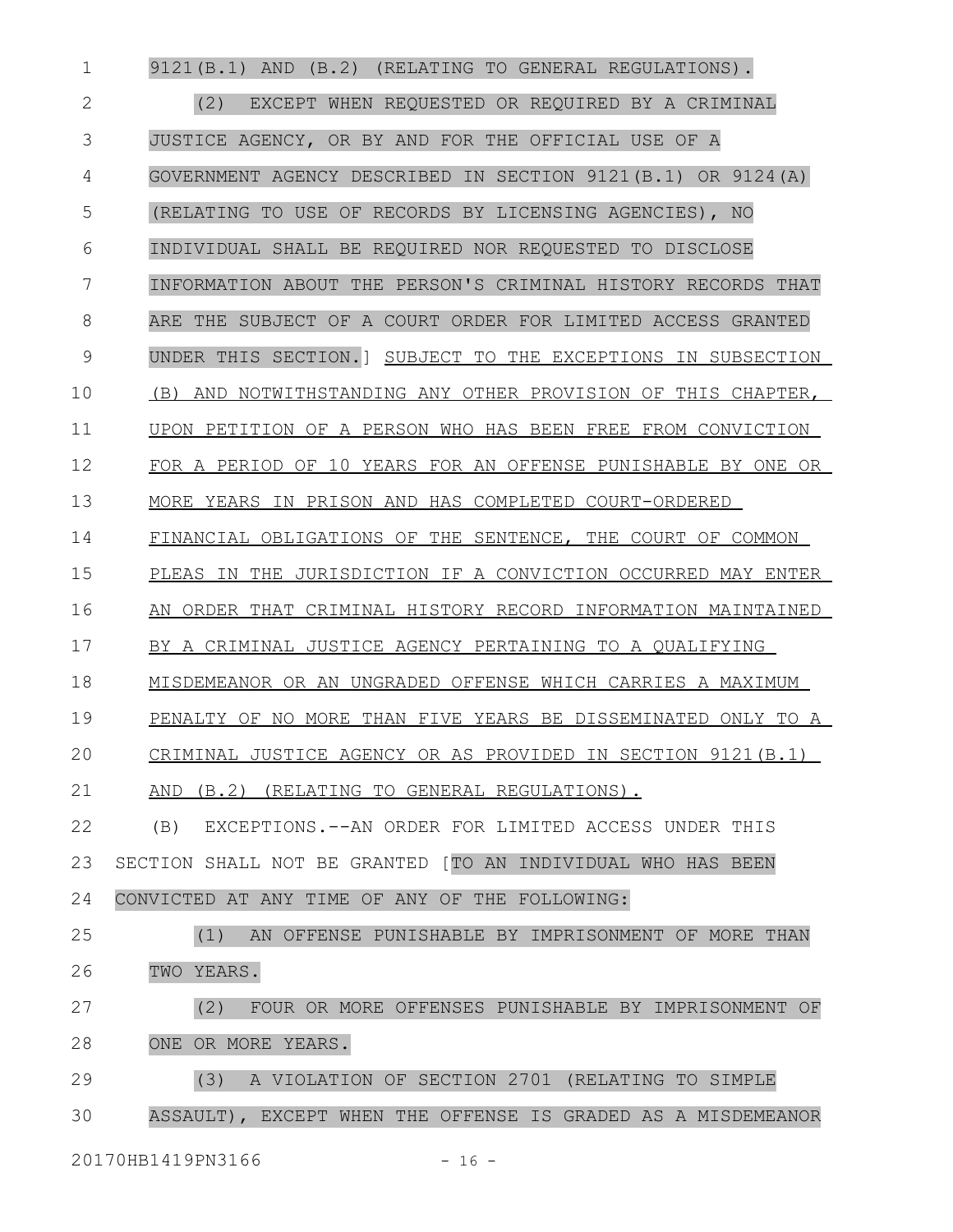9121(B.1) AND (B.2) (RELATING TO GENERAL REGULATIONS). (2) EXCEPT WHEN REQUESTED OR REQUIRED BY A CRIMINAL JUSTICE AGENCY, OR BY AND FOR THE OFFICIAL USE OF A GOVERNMENT AGENCY DESCRIBED IN SECTION 9121(B.1) OR 9124(A) (RELATING TO USE OF RECORDS BY LICENSING AGENCIES), NO INDIVIDUAL SHALL BE REQUIRED NOR REQUESTED TO DISCLOSE INFORMATION ABOUT THE PERSON'S CRIMINAL HISTORY RECORDS THAT ARE THE SUBJECT OF A COURT ORDER FOR LIMITED ACCESS GRANTED UNDER THIS SECTION.] SUBJECT TO THE EXCEPTIONS IN SUBSECTION (B) AND NOTWITHSTANDING ANY OTHER PROVISION OF THIS CHAPTER, UPON PETITION OF A PERSON WHO HAS BEEN FREE FROM CONVICTION FOR A PERIOD OF 10 YEARS FOR AN OFFENSE PUNISHABLE BY ONE OR MORE YEARS IN PRISON AND HAS COMPLETED COURT-ORDERED FINANCIAL OBLIGATIONS OF THE SENTENCE, THE COURT OF COMMON PLEAS IN THE JURISDICTION IF A CONVICTION OCCURRED MAY ENTER AN ORDER THAT CRIMINAL HISTORY RECORD INFORMATION MAINTAINED BY A CRIMINAL JUSTICE AGENCY PERTAINING TO A QUALIFYING MISDEMEANOR OR AN UNGRADED OFFENSE WHICH CARRIES A MAXIMUM PENALTY OF NO MORE THAN FIVE YEARS BE DISSEMINATED ONLY TO A CRIMINAL JUSTICE AGENCY OR AS PROVIDED IN SECTION 9121(B.1) AND (B.2) (RELATING TO GENERAL REGULATIONS). (B) EXCEPTIONS.--AN ORDER FOR LIMITED ACCESS UNDER THIS SECTION SHALL NOT BE GRANTED [TO AN INDIVIDUAL WHO HAS BEEN CONVICTED AT ANY TIME OF ANY OF THE FOLLOWING: (1) AN OFFENSE PUNISHABLE BY IMPRISONMENT OF MORE THAN TWO YEARS. (2) FOUR OR MORE OFFENSES PUNISHABLE BY IMPRISONMENT OF ONE OR MORE YEARS. (3) A VIOLATION OF SECTION 2701 (RELATING TO SIMPLE ASSAULT), EXCEPT WHEN THE OFFENSE IS GRADED AS A MISDEMEANOR 1 2 3 4 5 6 7 8 9 10 11 12 13 14 15 16 17 18 19 20 21 22 23 24 25 26 27 28 29 30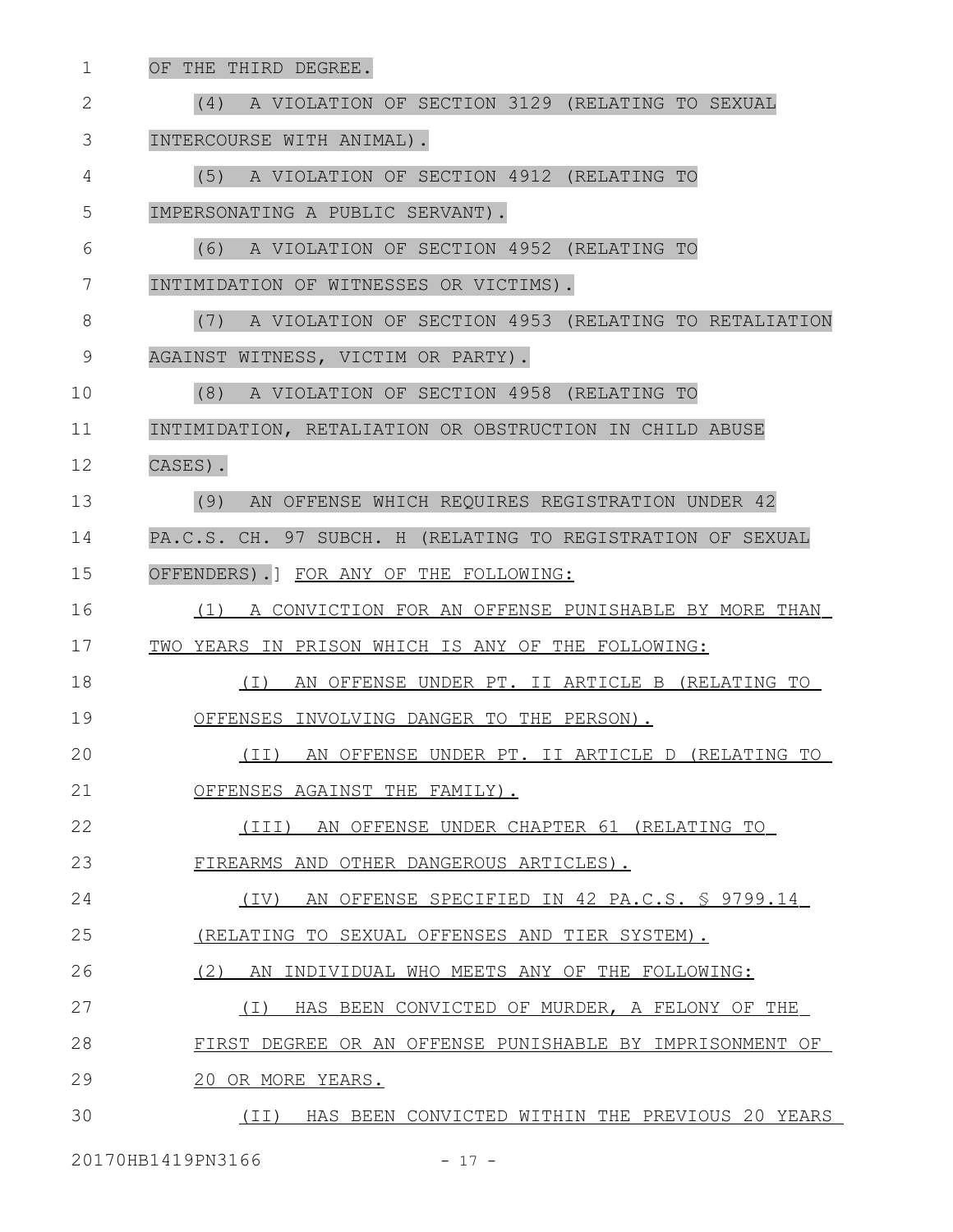| 1            | OF THE THIRD DEGREE.                                        |
|--------------|-------------------------------------------------------------|
| $\mathbf{2}$ | A VIOLATION OF SECTION 3129 (RELATING TO SEXUAL<br>(4)      |
| 3            | INTERCOURSE WITH ANIMAL).                                   |
| 4            | (5)<br>A VIOLATION OF SECTION 4912 (RELATING TO             |
| 5            | IMPERSONATING A PUBLIC SERVANT).                            |
| 6            | (6)<br>A VIOLATION OF SECTION 4952 (RELATING TO             |
| 7            | INTIMIDATION OF WITNESSES OR VICTIMS).                      |
| 8            | (7)<br>A VIOLATION OF SECTION 4953 (RELATING TO RETALIATION |
| 9            | AGAINST WITNESS, VICTIM OR PARTY).                          |
| 10           | (8)<br>A VIOLATION OF SECTION 4958 (RELATING TO             |
| 11           | INTIMIDATION, RETALIATION OR OBSTRUCTION IN CHILD ABUSE     |
| 12           | CASES).                                                     |
| 13           | (9)<br>AN OFFENSE WHICH REQUIRES REGISTRATION UNDER 42      |
| 14           | PA.C.S. CH. 97 SUBCH. H (RELATING TO REGISTRATION OF SEXUAL |
| 15           | OFFENDERS). FOR ANY OF THE FOLLOWING:                       |
| 16           | (1) A CONVICTION FOR AN OFFENSE PUNISHABLE BY MORE THAN     |
| 17           | TWO YEARS IN PRISON WHICH IS ANY OF THE FOLLOWING:          |
| 18           | (I) AN OFFENSE UNDER PT. II ARTICLE B (RELATING TO          |
| 19           | OFFENSES INVOLVING DANGER TO THE PERSON).                   |
| 20           | (II) AN OFFENSE UNDER PT. II ARTICLE D (RELATING TO         |
| 21           | OFFENSES AGAINST THE FAMILY).                               |
| 22           | (III) AN OFFENSE UNDER CHAPTER 61 (RELATING TO              |
| 23           | FIREARMS AND OTHER DANGEROUS ARTICLES).                     |
| 24           | (IV) AN OFFENSE SPECIFIED IN 42 PA.C.S. \$ 9799.14          |
| 25           | (RELATING TO SEXUAL OFFENSES AND TIER SYSTEM).              |
| 26           | (2)<br>AN INDIVIDUAL WHO MEETS ANY OF THE FOLLOWING:        |
| 27           | HAS BEEN CONVICTED OF MURDER, A FELONY OF THE<br>( I )      |
| 28           | FIRST DEGREE OR AN OFFENSE PUNISHABLE BY IMPRISONMENT OF    |
| 29           | 20 OR MORE YEARS.                                           |
| 30           | (II) HAS BEEN CONVICTED WITHIN THE PREVIOUS 20 YEARS        |
|              |                                                             |

20170HB1419PN3166 - 17 -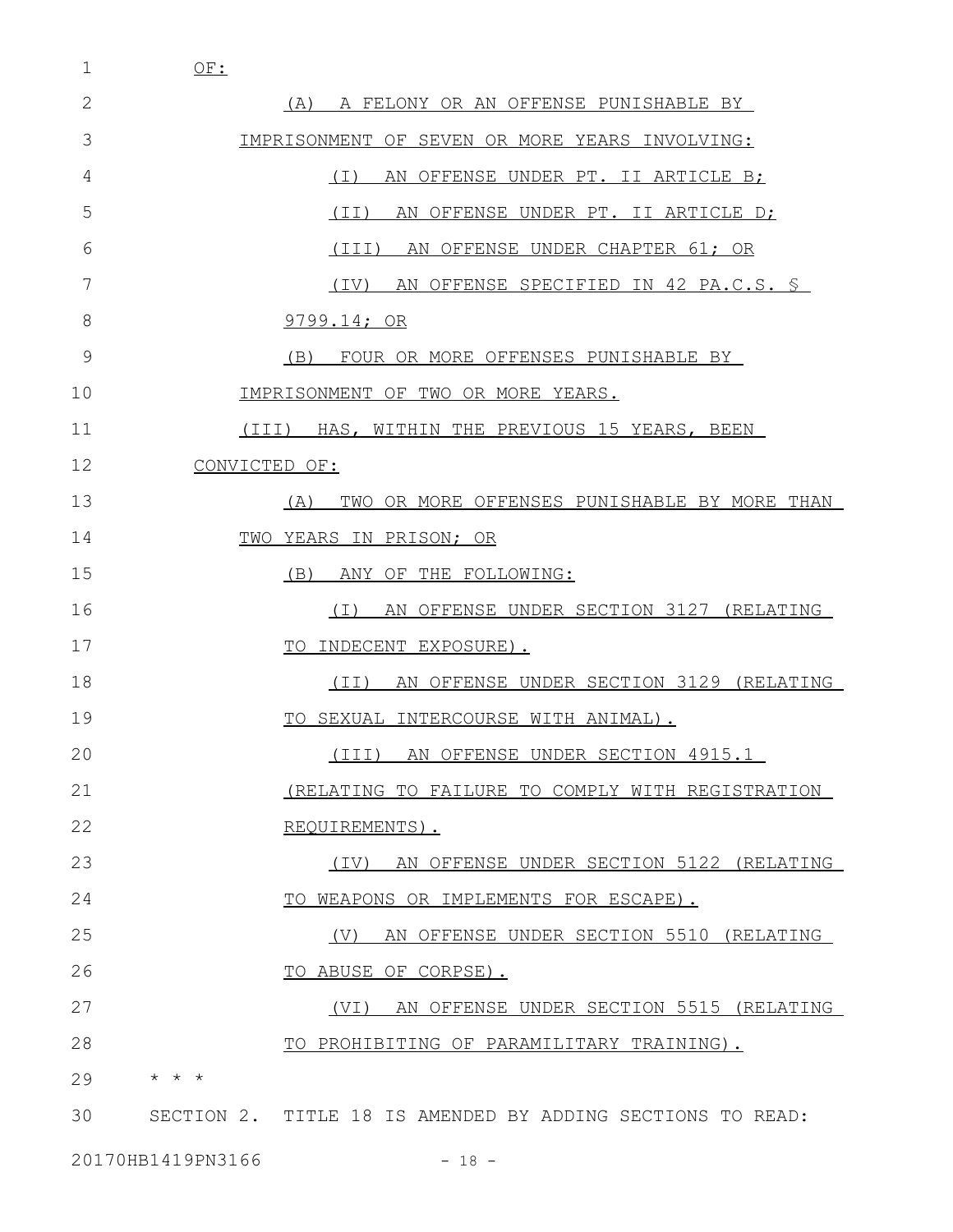1 OF:

| 2  | (A) A FELONY OR AN OFFENSE PUNISHABLE BY                   |
|----|------------------------------------------------------------|
| 3  | IMPRISONMENT OF SEVEN OR MORE YEARS INVOLVING:             |
| 4  | $(\top)$<br>AN OFFENSE UNDER PT. II ARTICLE B;             |
| 5  | (TI)<br>AN OFFENSE UNDER PT. II ARTICLE D;                 |
| 6  | (III)<br>AN OFFENSE UNDER CHAPTER 61; OR                   |
| 7  | (TV)<br>AN OFFENSE SPECIFIED IN 42 PA.C.S. \$              |
| 8  | 9799.14; OR                                                |
| 9  | (B)<br>FOUR OR MORE OFFENSES PUNISHABLE BY                 |
| 10 | IMPRISONMENT OF TWO OR MORE YEARS.                         |
| 11 | (III) HAS, WITHIN THE PREVIOUS 15 YEARS, BEEN              |
| 12 | CONVICTED OF:                                              |
| 13 | TWO OR MORE OFFENSES PUNISHABLE BY MORE THAN<br>(A)        |
| 14 | TWO YEARS IN PRISON; OR                                    |
| 15 | ANY OF THE FOLLOWING:<br>(B)                               |
| 16 | AN OFFENSE UNDER SECTION 3127 (RELATING<br>( I )           |
| 17 | TO INDECENT EXPOSURE).                                     |
| 18 | AN OFFENSE UNDER SECTION 3129 (RELATING<br>(TI)            |
| 19 | TO SEXUAL INTERCOURSE WITH ANIMAL).                        |
| 20 | (III) AN OFFENSE UNDER SECTION 4915.1                      |
| 21 | (RELATING TO FAILURE TO COMPLY WITH REGISTRATION           |
| 22 | REQUIREMENTS).                                             |
| 23 | (IV) AN OFFENSE UNDER SECTION 5122 (RELATING               |
| 24 | TO WEAPONS OR IMPLEMENTS FOR ESCAPE).                      |
| 25 | (V) AN OFFENSE UNDER SECTION 5510 (RELATING                |
| 26 | TO ABUSE OF CORPSE).                                       |
| 27 | (VI) AN OFFENSE UNDER SECTION 5515 (RELATING               |
| 28 | TO PROHIBITING OF PARAMILITARY TRAINING).                  |
| 29 | $\star$ $\star$ $\star$                                    |
| 30 | SECTION 2. TITLE 18 IS AMENDED BY ADDING SECTIONS TO READ: |

20170HB1419PN3166 - 18 -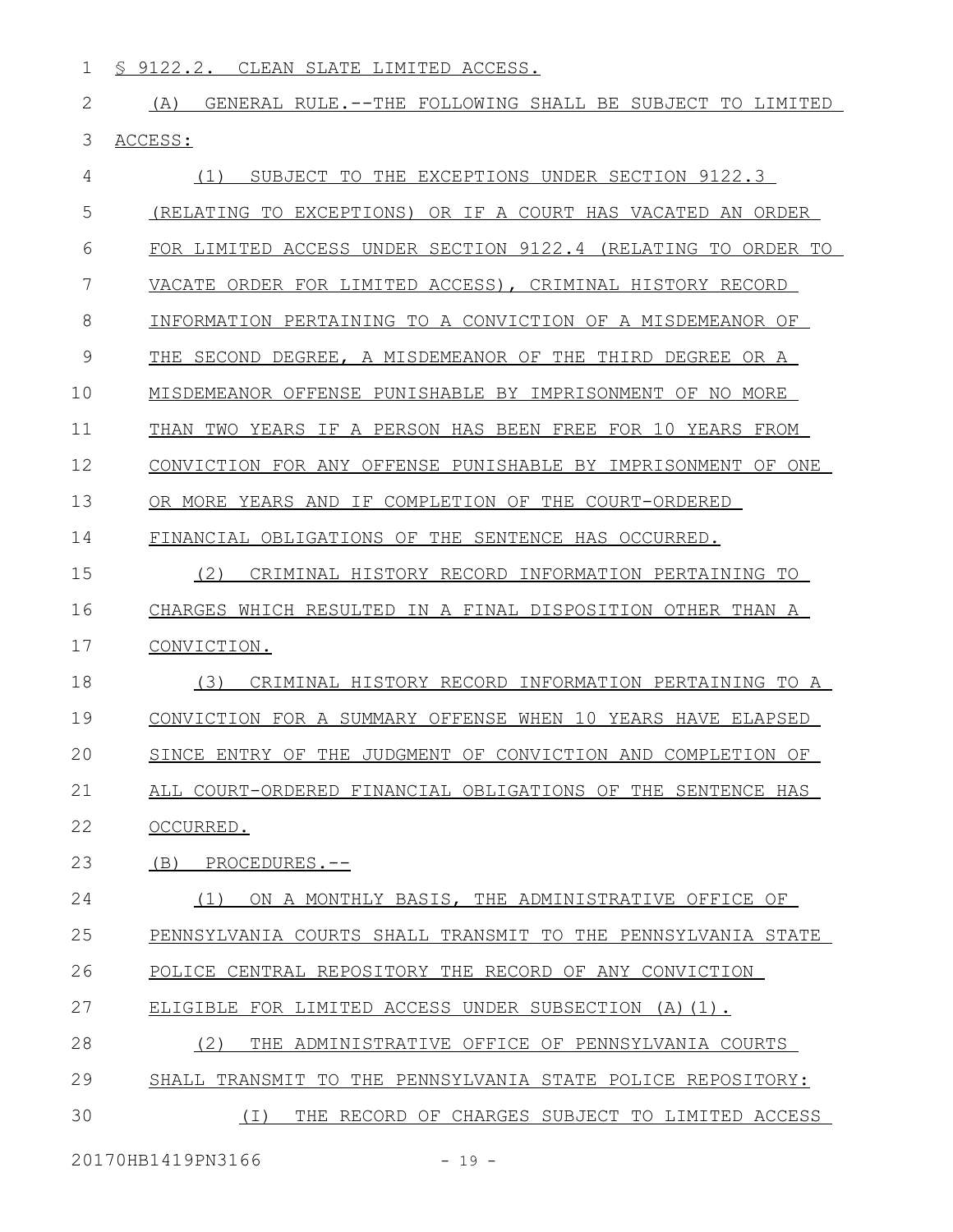- 1 S 9122.2. CLEAN SLATE LIMITED ACCESS.
- 2 (A) GENERAL RULE.--THE FOLLOWING SHALL BE SUBJECT TO LIMITED 3 ACCESS:

| 4  | SUBJECT TO THE EXCEPTIONS UNDER SECTION 9122.3<br>(1)         |
|----|---------------------------------------------------------------|
| 5  | (RELATING TO EXCEPTIONS) OR IF A COURT HAS VACATED AN ORDER   |
| 6  | FOR LIMITED ACCESS UNDER SECTION 9122.4 (RELATING TO ORDER TO |
| 7  | VACATE ORDER FOR LIMITED ACCESS), CRIMINAL HISTORY RECORD     |
| 8  | INFORMATION PERTAINING TO A CONVICTION OF A MISDEMEANOR OF    |
| 9  | THE SECOND DEGREE, A MISDEMEANOR OF THE THIRD DEGREE OR A     |
| 10 | MISDEMEANOR OFFENSE PUNISHABLE BY IMPRISONMENT OF NO MORE     |
| 11 | THAN TWO YEARS IF A PERSON HAS BEEN FREE FOR 10 YEARS FROM    |
| 12 | CONVICTION FOR ANY OFFENSE PUNISHABLE BY IMPRISONMENT OF ONE  |
| 13 | OR MORE YEARS AND IF COMPLETION OF THE COURT-ORDERED          |
| 14 | FINANCIAL OBLIGATIONS OF THE SENTENCE HAS OCCURRED.           |
| 15 | (2)<br>CRIMINAL HISTORY RECORD INFORMATION PERTAINING TO      |
| 16 | CHARGES WHICH RESULTED IN A FINAL DISPOSITION OTHER THAN A    |
| 17 | CONVICTION.                                                   |
| 18 | (3)<br>CRIMINAL HISTORY RECORD INFORMATION PERTAINING TO A    |
| 19 | CONVICTION FOR A SUMMARY OFFENSE WHEN 10 YEARS HAVE ELAPSED   |
| 20 | SINCE ENTRY OF THE JUDGMENT OF CONVICTION AND COMPLETION OF   |
| 21 | ALL COURT-ORDERED FINANCIAL OBLIGATIONS OF THE SENTENCE HAS   |
| 22 | OCCURRED.                                                     |
| 23 | (B) PROCEDURES.--                                             |
| 24 | ON A MONTHLY BASIS, THE ADMINISTRATIVE OFFICE OF<br>(1)       |
| 25 | PENNSYLVANIA COURTS SHALL TRANSMIT TO THE PENNSYLVANIA STATE  |
| 26 | POLICE CENTRAL REPOSITORY THE RECORD OF ANY CONVICTION        |
| 27 | ELIGIBLE FOR LIMITED ACCESS UNDER SUBSECTION (A)(1).          |
| 28 | (2)<br>THE ADMINISTRATIVE OFFICE OF PENNSYLVANIA COURTS       |
| 29 | SHALL TRANSMIT TO THE PENNSYLVANIA STATE POLICE REPOSITORY:   |
| 30 | (I) THE RECORD OF CHARGES SUBJECT TO LIMITED ACCESS           |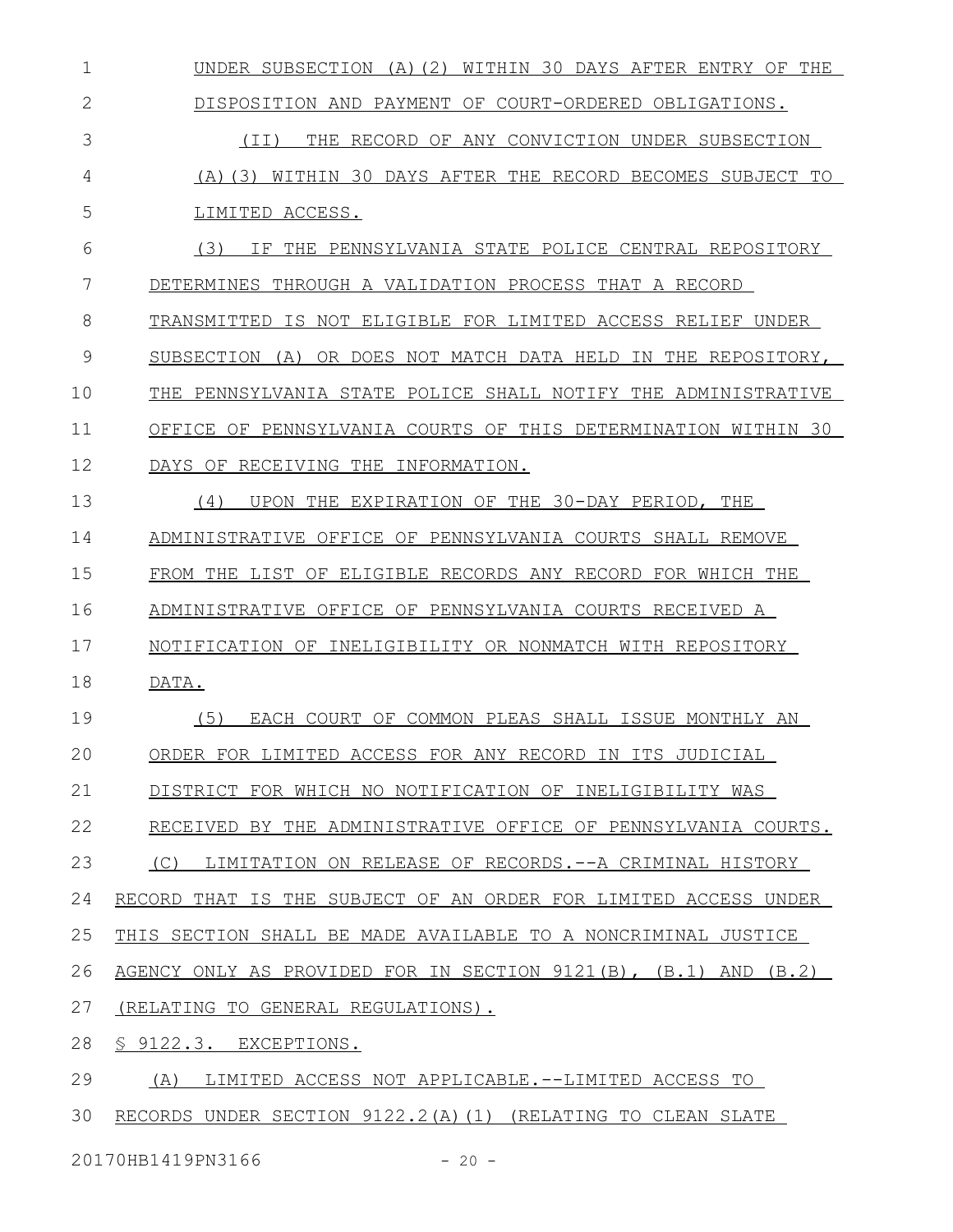UNDER SUBSECTION (A)(2) WITHIN 30 DAYS AFTER ENTRY OF THE DISPOSITION AND PAYMENT OF COURT-ORDERED OBLIGATIONS. (II) THE RECORD OF ANY CONVICTION UNDER SUBSECTION (A)(3) WITHIN 30 DAYS AFTER THE RECORD BECOMES SUBJECT TO LIMITED ACCESS. (3) IF THE PENNSYLVANIA STATE POLICE CENTRAL REPOSITORY DETERMINES THROUGH A VALIDATION PROCESS THAT A RECORD TRANSMITTED IS NOT ELIGIBLE FOR LIMITED ACCESS RELIEF UNDER SUBSECTION (A) OR DOES NOT MATCH DATA HELD IN THE REPOSITORY, THE PENNSYLVANIA STATE POLICE SHALL NOTIFY THE ADMINISTRATIVE OFFICE OF PENNSYLVANIA COURTS OF THIS DETERMINATION WITHIN 30 DAYS OF RECEIVING THE INFORMATION. (4) UPON THE EXPIRATION OF THE 30-DAY PERIOD, THE ADMINISTRATIVE OFFICE OF PENNSYLVANIA COURTS SHALL REMOVE FROM THE LIST OF ELIGIBLE RECORDS ANY RECORD FOR WHICH THE ADMINISTRATIVE OFFICE OF PENNSYLVANIA COURTS RECEIVED A NOTIFICATION OF INELIGIBILITY OR NONMATCH WITH REPOSITORY DATA. (5) EACH COURT OF COMMON PLEAS SHALL ISSUE MONTHLY AN ORDER FOR LIMITED ACCESS FOR ANY RECORD IN ITS JUDICIAL DISTRICT FOR WHICH NO NOTIFICATION OF INELIGIBILITY WAS RECEIVED BY THE ADMINISTRATIVE OFFICE OF PENNSYLVANIA COURTS. (C) LIMITATION ON RELEASE OF RECORDS.--A CRIMINAL HISTORY RECORD THAT IS THE SUBJECT OF AN ORDER FOR LIMITED ACCESS UNDER THIS SECTION SHALL BE MADE AVAILABLE TO A NONCRIMINAL JUSTICE AGENCY ONLY AS PROVIDED FOR IN SECTION 9121(B), (B.1) AND (B.2) (RELATING TO GENERAL REGULATIONS). § 9122.3. EXCEPTIONS. (A) LIMITED ACCESS NOT APPLICABLE.--LIMITED ACCESS TO RECORDS UNDER SECTION 9122.2(A)(1) (RELATING TO CLEAN SLATE 1 2 3 4 5 6 7 8 9 10 11 12 13 14 15 16 17 18 19 20 21 22 23 24 25 26 27 28 29 30

20170HB1419PN3166 - 20 -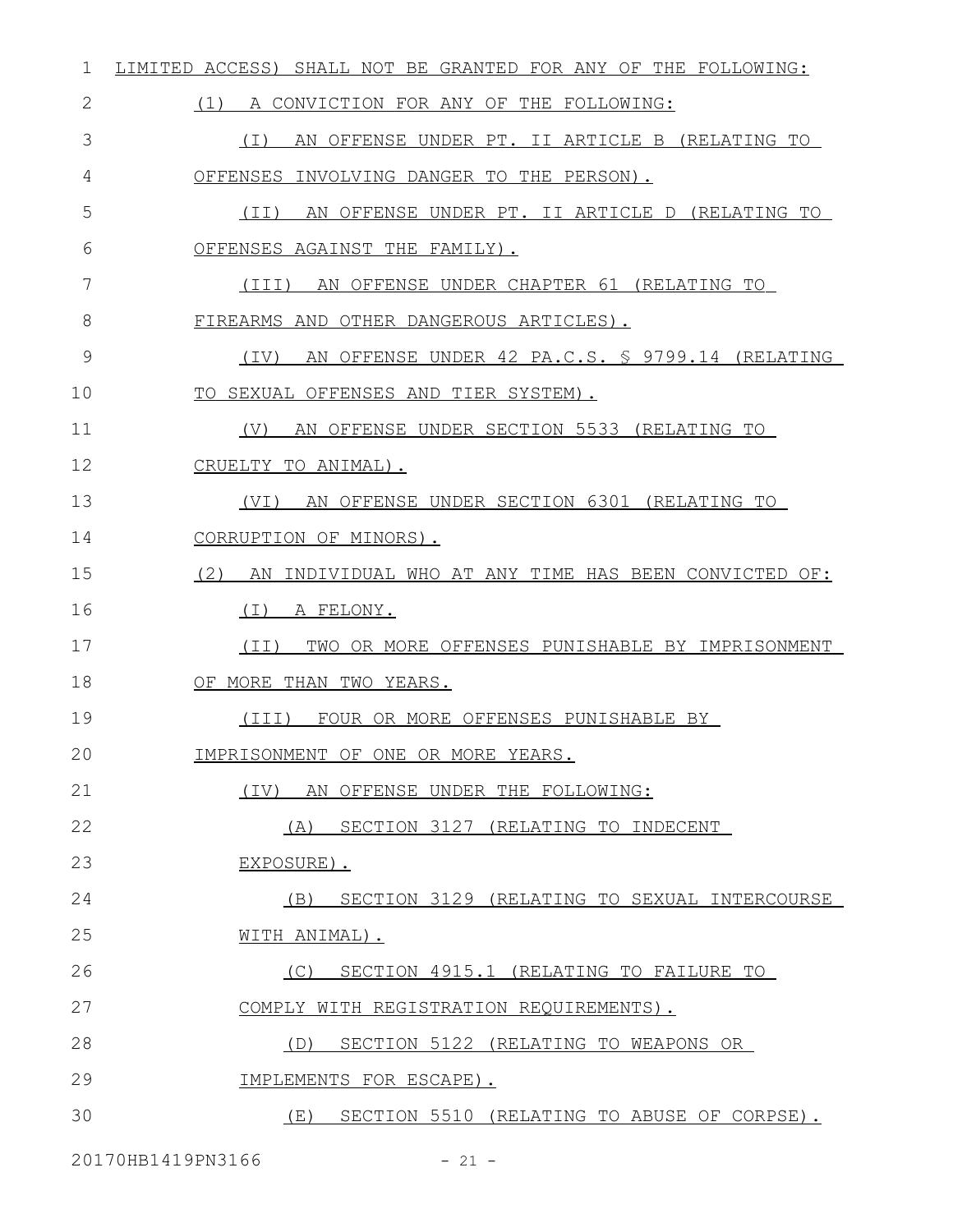| 1  | LIMITED ACCESS) SHALL NOT BE GRANTED FOR ANY OF THE FOLLOWING: |
|----|----------------------------------------------------------------|
| 2  | (1)<br>A CONVICTION FOR ANY OF THE FOLLOWING:                  |
| 3  | AN OFFENSE UNDER PT. II ARTICLE B (RELATING TO<br>( I )        |
| 4  | OFFENSES INVOLVING DANGER TO THE PERSON).                      |
| 5  | AN OFFENSE UNDER PT. II ARTICLE D (RELATING TO<br>(II)         |
| 6  | OFFENSES AGAINST THE FAMILY).                                  |
| 7  | AN OFFENSE UNDER CHAPTER 61 (RELATING TO<br>(III)              |
| 8  | FIREARMS AND OTHER DANGEROUS ARTICLES).                        |
| 9  | AN OFFENSE UNDER 42 PA.C.S. § 9799.14 (RELATING<br>(IV)        |
| 10 | TO SEXUAL OFFENSES AND TIER SYSTEM).                           |
| 11 | AN OFFENSE UNDER SECTION 5533 (RELATING TO<br>(V)              |
| 12 | CRUELTY TO ANIMAL).                                            |
| 13 | AN OFFENSE UNDER SECTION 6301 (RELATING TO<br>(VI)             |
| 14 | CORRUPTION OF MINORS).                                         |
| 15 | (2)<br>AN INDIVIDUAL WHO AT ANY TIME HAS BEEN CONVICTED OF:    |
| 16 | ( I )<br>A FELONY.                                             |
| 17 | TWO OR MORE OFFENSES PUNISHABLE BY IMPRISONMENT<br>(II)        |
| 18 | OF MORE THAN TWO YEARS.                                        |
| 19 | FOUR OR MORE OFFENSES PUNISHABLE BY<br>(III)                   |
| 20 | IMPRISONMENT OF ONE OR MORE YEARS.                             |
| 21 | (IV) AN OFFENSE UNDER THE FOLLOWING:                           |
| 22 | (A) SECTION 3127 (RELATING TO INDECENT                         |
| 23 | EXPOSURE).                                                     |
| 24 | SECTION 3129 (RELATING TO SEXUAL INTERCOURSE<br>(B)            |
| 25 | WITH ANIMAL).                                                  |
| 26 | (C) SECTION 4915.1 (RELATING TO FAILURE TO                     |
| 27 | COMPLY WITH REGISTRATION REQUIREMENTS).                        |
| 28 | SECTION 5122 (RELATING TO WEAPONS OR<br>(D)                    |
| 29 | IMPLEMENTS FOR ESCAPE).                                        |
| 30 | (E) SECTION 5510 (RELATING TO ABUSE OF CORPSE).                |
|    |                                                                |

20170HB1419PN3166 - 21 -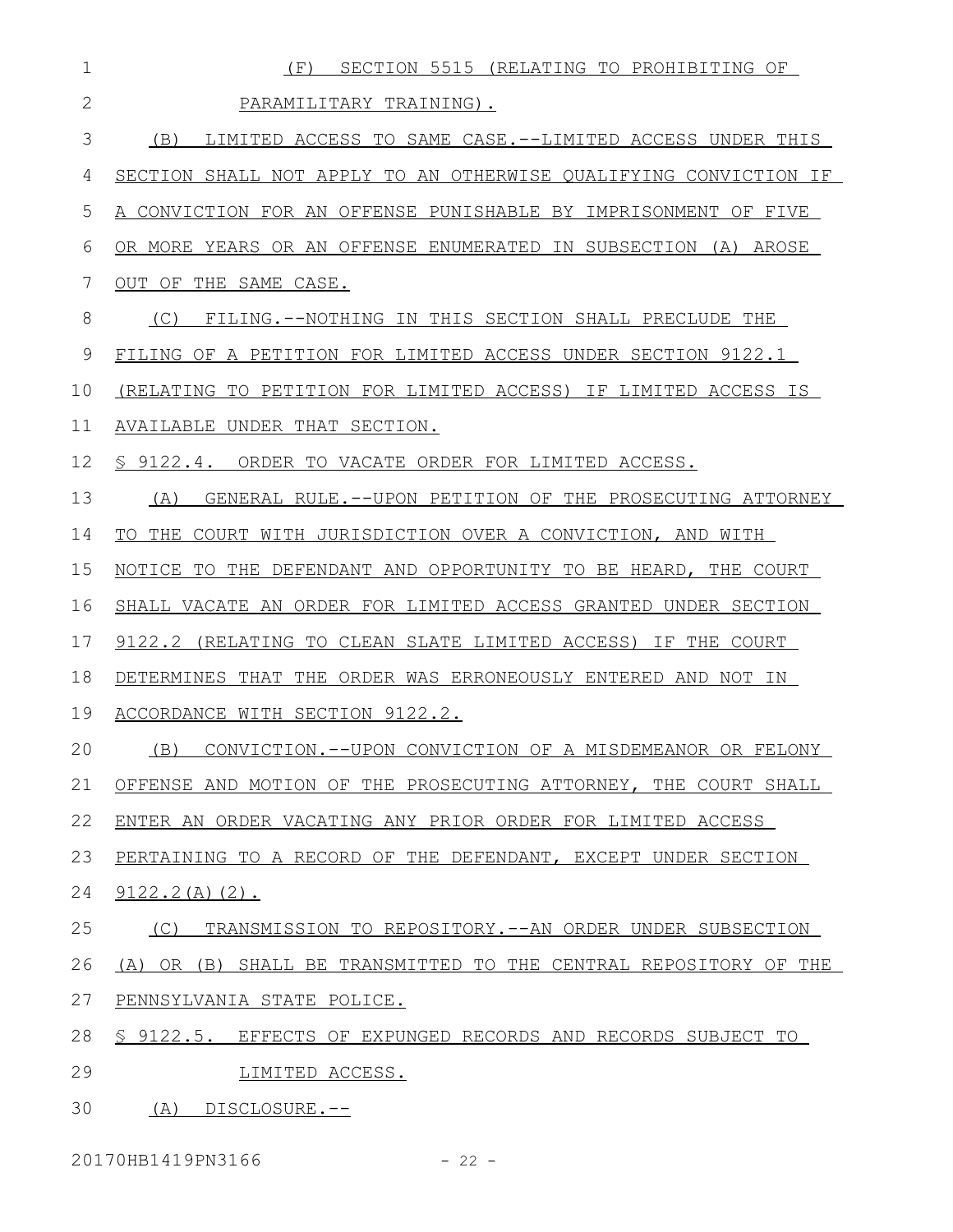| $\mathbf 1$    | SECTION 5515 (RELATING TO PROHIBITING OF<br>(E)                  |
|----------------|------------------------------------------------------------------|
| $\overline{2}$ | PARAMILITARY TRAINING).                                          |
| 3              | LIMITED ACCESS TO SAME CASE.--LIMITED ACCESS UNDER THIS<br>(B)   |
| 4              | SECTION SHALL NOT APPLY TO AN OTHERWISE QUALIFYING CONVICTION IF |
| 5              | A CONVICTION FOR AN OFFENSE PUNISHABLE BY IMPRISONMENT OF FIVE   |
| 6              | OR MORE YEARS OR AN OFFENSE ENUMERATED IN SUBSECTION (A) AROSE   |
| 7              | OUT OF THE SAME CASE.                                            |
| 8              | (C)<br>FILING.--NOTHING IN THIS SECTION SHALL PRECLUDE THE       |
| $\mathcal{G}$  | FILING OF A PETITION FOR LIMITED ACCESS UNDER SECTION 9122.1     |
| 10             | (RELATING TO PETITION FOR LIMITED ACCESS) IF LIMITED ACCESS IS   |
| 11             | AVAILABLE UNDER THAT SECTION.                                    |
| 12             | \$ 9122.4. ORDER TO VACATE ORDER FOR LIMITED ACCESS.             |
| 13             | GENERAL RULE.--UPON PETITION OF THE PROSECUTING ATTORNEY<br>(A)  |
| 14             | TO THE COURT WITH JURISDICTION OVER A CONVICTION, AND WITH       |
| 15             | NOTICE TO THE DEFENDANT AND OPPORTUNITY TO BE HEARD, THE COURT   |
| 16             | SHALL VACATE AN ORDER FOR LIMITED ACCESS GRANTED UNDER SECTION   |
| 17             | 9122.2 (RELATING TO CLEAN SLATE LIMITED ACCESS) IF THE COURT     |
| 18             | DETERMINES THAT THE ORDER WAS ERRONEOUSLY ENTERED AND NOT IN     |
| 19             | ACCORDANCE WITH SECTION 9122.2.                                  |
| 20             | CONVICTION. -- UPON CONVICTION OF A MISDEMEANOR OR FELONY<br>(B) |
| 21             | OFFENSE AND MOTION OF THE PROSECUTING ATTORNEY, THE COURT SHALL  |
| 22             | ENTER AN ORDER VACATING ANY PRIOR ORDER FOR LIMITED ACCESS       |
| 23             | PERTAINING TO A RECORD OF THE DEFENDANT, EXCEPT UNDER SECTION    |
| 24             | $9122.2(A)(2)$ .                                                 |
| 25             | (C)<br>TRANSMISSION TO REPOSITORY.--AN ORDER UNDER SUBSECTION    |
| 26             | (A) OR (B) SHALL BE TRANSMITTED TO THE CENTRAL REPOSITORY OF THE |
| 27             | PENNSYLVANIA STATE POLICE.                                       |
| 28             | \$ 9122.5. EFFECTS OF EXPUNGED RECORDS AND RECORDS SUBJECT TO    |
| 29             | LIMITED ACCESS.                                                  |
| 30             | (A) DISCLOSURE.--                                                |

20170HB1419PN3166 - 22 -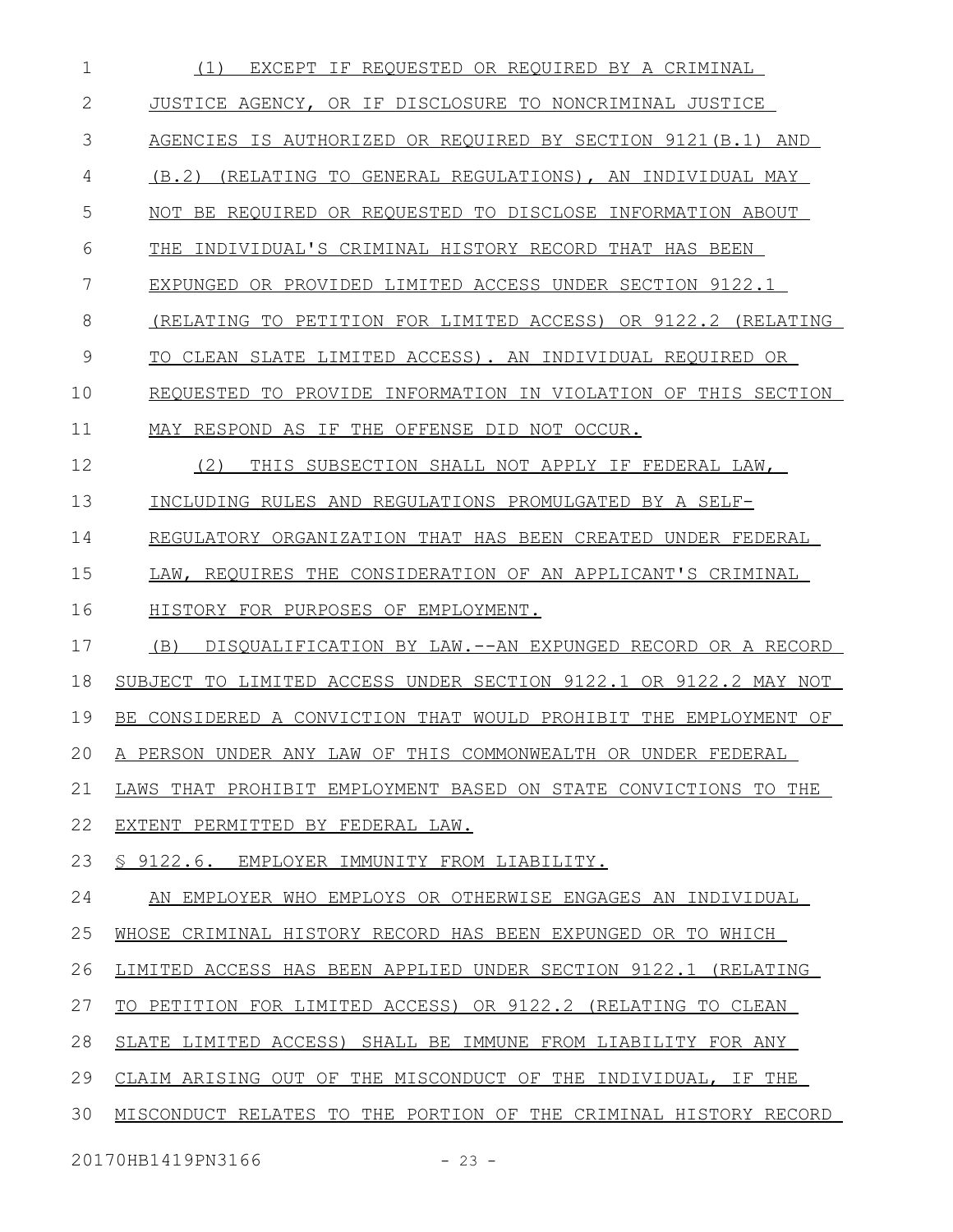| 1            | (1)<br>EXCEPT IF REOUESTED OR REOUIRED BY A CRIMINAL                |
|--------------|---------------------------------------------------------------------|
| $\mathbf{2}$ | JUSTICE AGENCY, OR IF DISCLOSURE TO NONCRIMINAL JUSTICE             |
| 3            | AGENCIES IS AUTHORIZED OR REQUIRED BY SECTION 9121(B.1) AND         |
| 4            | (B.2)<br>(RELATING TO GENERAL REGULATIONS), AN INDIVIDUAL MAY       |
| 5            | NOT BE REQUIRED OR REQUESTED TO DISCLOSE INFORMATION ABOUT          |
| 6            | INDIVIDUAL'S CRIMINAL HISTORY RECORD THAT HAS BEEN<br>THE.          |
| 7            | EXPUNGED OR PROVIDED LIMITED ACCESS UNDER SECTION 9122.1            |
| 8            | (RELATING TO PETITION FOR LIMITED ACCESS) OR 9122.2 (RELATING       |
| 9            | TO CLEAN SLATE LIMITED ACCESS). AN INDIVIDUAL REQUIRED OR           |
| 10           | REQUESTED TO PROVIDE INFORMATION IN VIOLATION OF THIS SECTION       |
| 11           | MAY RESPOND AS IF THE OFFENSE DID NOT OCCUR.                        |
| 12           | (2)<br>THIS SUBSECTION SHALL NOT APPLY IF FEDERAL LAW,              |
| 13           | INCLUDING RULES AND REGULATIONS PROMULGATED BY A SELF-              |
| 14           | REGULATORY ORGANIZATION THAT HAS BEEN CREATED UNDER FEDERAL         |
| 15           | LAW, REQUIRES THE CONSIDERATION OF AN APPLICANT'S CRIMINAL          |
| 16           | HISTORY FOR PURPOSES OF EMPLOYMENT.                                 |
| 17           | DISQUALIFICATION BY LAW. -- AN EXPUNGED RECORD OR A RECORD<br>(B)   |
| 18           | SUBJECT TO LIMITED ACCESS UNDER SECTION 9122.1 OR 9122.2 MAY NOT    |
| 19           | BE CONSIDERED A CONVICTION THAT WOULD PROHIBIT THE EMPLOYMENT<br>OF |
| 20           | A PERSON UNDER ANY LAW OF THIS COMMONWEALTH OR UNDER FEDERAL        |
| 21           | LAWS THAT PROHIBIT EMPLOYMENT BASED ON STATE CONVICTIONS TO THE     |
| 22           | EXTENT PERMITTED BY FEDERAL LAW.                                    |
| 23           | § 9122.6. EMPLOYER IMMUNITY FROM LIABILITY.                         |
| 24           | AN EMPLOYER WHO EMPLOYS OR OTHERWISE ENGAGES AN INDIVIDUAL          |
| 25           | WHOSE CRIMINAL HISTORY RECORD HAS BEEN EXPUNGED OR TO WHICH         |
| 26           | LIMITED ACCESS HAS BEEN APPLIED UNDER SECTION 9122.1 (RELATING      |
| 27           | TO PETITION FOR LIMITED ACCESS) OR 9122.2 (RELATING TO CLEAN        |
| 28           | SLATE LIMITED ACCESS) SHALL BE IMMUNE FROM LIABILITY FOR ANY        |
| 29           | CLAIM ARISING OUT OF THE MISCONDUCT OF THE INDIVIDUAL, IF THE       |
| 30           | MISCONDUCT RELATES TO THE PORTION OF THE CRIMINAL HISTORY RECORD    |